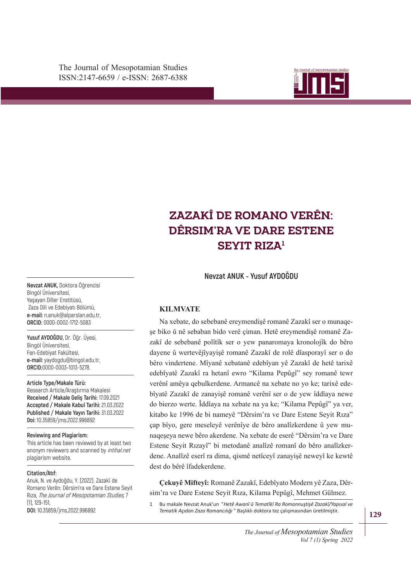The Journal of Mesopotamian Studies ISSN:2147-6659 / e-ISSN: 2687-6388



# ZAZAKÎ DE ROMANO VERÊN: **DÊRSIM'RA VE DARE ESTENE SEYIT RIZA<sup>1</sup>**

**Nevzat ANUK - Yusuf AYDOĞDU**

## **KILMVATE**

wa xedate, ab sebesahê ereymendişê romanê Zazaki ser o manaqe zakî de sebebanê polîtîk ser o yew panaromaya kronolojîk do bêro Na xebate, do sebebanê ereymendişê romanê Zazakî ser o munaqedayene û wertevêjîyayişê romanê Zazakî de rolê dîasporayî ser o do bêro vindertene. Mîyanê xebatanê edebîyan yê Zazakî de hetê tarixê edebîyatê Zazakî ra hetanî ewro "Kilama Pepûgî" sey romanê tewr verênî amêya qebulkerdene. Armancê na xebate no yo ke; tarixê edebîyatê Zazakî de zanayişê romanê verênî ser o de yew îddîaya newe do bierzo werte. Îddîaya na xebate na ya ke; "Kilama Pepûgî" ya ver, kitabo ke 1996 de bi nameyê "Dêrsim'ra ve Dare Estene Seyit Rıza" çap bîyo, gere meseleyê verênîye de bêro analîzkerdene û yew munaqeşeya newe bêro akerdene. Na xebate de eserê "Dêrsim'ra ve Dare Estene Seyit Rızayî" bi metodanê analîzê romanî do bêro analîzkerdene. Analîzê eserî ra dima, qismê netîceyî zanayişê neweyî ke kewtê dest do bêrê îfadekerdene.

**Çekuyê Mifteyî:** Romanê Zazakî, Edebîyato Modern yê Zaza, Dêrsim'ra ve Dare Estene Seyit Rıza, Kilama Pepûgî, Mehmet Gülmez.

1 Bu makale Nevzat Anuk'un "*Hetê Awanî û Tematîkî Ra Romannuştişê Zazakî/Yapısal ve Tematik Açıdan Zaza Romancılığı* " Başlıklı doktora tez çalışmasından üretilmiştir.

**Nevzat ANUK,** Doktora Öğrencisi Bingöl Üniversitesi, Yaşayan Diller Enstitüsü, Zaza Dili ve Edebiyatı Bölümü, **e-mail:** n.anuk@alparslan.edu.tr, **ORCID:** 0000-0002-1712-5083

**Yusuf AYDOĞDU,** Dr. Öğr. Üyesi, Bingöl Üniversitesi, Fen-Edebiyat Fakültesi, **e-mail:** yaydogdu@bingol.edu.tr, **ORCID:**0000-0003-1013-5278.

#### **Article Type/Makale Türü:**

Research Article/Araştırma Makalesi **Received / Makale Geliş Tarihi:** 17.09.2021 **Accepted / Makale Kabul Tarihi:** 21.03.2022 **Published / Makale Yayın Tarihi:** 31.03.2022 **Doi:** 10.35859/jms.2022.996892

#### **Reviewing and Plagiarism:**

This article has been reviewed by at least two anonym reviewers and scanned by intihal.net plagiarism website.

#### **Citation/Atıf:**

Anuk, N. ve Aydoğdu, Y. (2022). Zazakî de Romano Verên: Dêrsim'ra ve Dare Estene Seyit Rıza, The Journal of Mesopotamian Studies, 7 (1), 129-151,

**DOI:** 10.35859/jms.2022.996892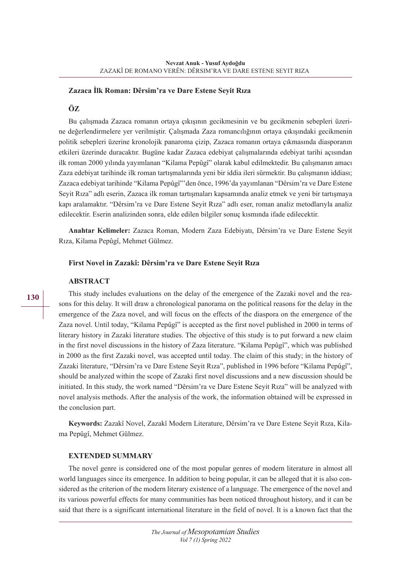#### **Zazaca İlk Roman: Dêrsim'ra ve Dare Estene Seyit Rıza**

#### **ÖZ**

Bu çalışmada Zazaca romanın ortaya çıkışının gecikmesinin ve bu gecikmenin sebepleri üzerine değerlendirmelere yer verilmiştir. Çalışmada Zaza romancılığının ortaya çıkışındaki gecikmenin politik sebepleri üzerine kronolojik panaroma çizip, Zazaca romanın ortaya çıkmasında diasporanın etkileri üzerinde duracaktır. Bugüne kadar Zazaca edebiyat çalışmalarında edebiyat tarihi açısından ilk roman 2000 yılında yayımlanan "Kilama Pepûgî" olarak kabul edilmektedir. Bu çalışmanın amacı Zaza edebiyat tarihinde ilk roman tartışmalarında yeni bir iddia ileri sürmektir. Bu çalışmanın iddiası; Zazaca edebiyat tarihinde "Kilama Pepûgî"'den önce, 1996'da yayımlanan "Dêrsim'ra ve Dare Estene Seyit Rıza" adlı eserin, Zazaca ilk roman tartışmaları kapsamında analiz etmek ve yeni bir tartışmaya kapı aralamaktır. "Dêrsim'ra ve Dare Estene Seyit Rıza" adlı eser, roman analiz metodlarıyla analiz edilecektir. Eserin analizinden sonra, elde edilen bilgiler sonuç kısmında ifade edilecektir.

**Anahtar Kelimeler:** Zazaca Roman, Modern Zaza Edebiyatı, Dêrsim'ra ve Dare Estene Seyit Rıza, Kilama Pepûgî, Mehmet Gülmez.

#### **First Novel in Zazakî: Dêrsim'ra ve Dare Estene Seyit Rıza**

#### **ABSTRACT**

This study includes evaluations on the delay of the emergence of the Zazaki novel and the reasons for this delay. It will draw a chronological panorama on the political reasons for the delay in the emergence of the Zaza novel, and will focus on the effects of the diaspora on the emergence of the Zaza novel. Until today, "Kilama Pepûgî" is accepted as the first novel published in 2000 in terms of literary history in Zazaki literature studies. The objective of this study is to put forward a new claim in the first novel discussions in the history of Zaza literature. "Kilama Pepûgî", which was published in 2000 as the first Zazaki novel, was accepted until today. The claim of this study; in the history of Zazaki literature, "Dêrsim'ra ve Dare Estene Seyit Rıza", published in 1996 before "Kilama Pepûgî", should be analyzed within the scope of Zazaki first novel discussions and a new discussion should be initiated. In this study, the work named "Dêrsim'ra ve Dare Estene Seyit Rıza" will be analyzed with novel analysis methods. After the analysis of the work, the information obtained will be expressed in the conclusion part.

**Keywords:** Zazakî Novel, Zazakî Modern Literature, Dêrsim'ra ve Dare Estene Seyit Rıza, Kilama Pepûgî, Mehmet Gülmez.

#### **EXTENDED SUMMARY**

The novel genre is considered one of the most popular genres of modern literature in almost all world languages since its emergence. In addition to being popular, it can be alleged that it is also considered as the criterion of the modern literary existence of a language. The emergence of the novel and its various powerful effects for many communities has been noticed throughout history, and it can be said that there is a significant international literature in the field of novel. It is a known fact that the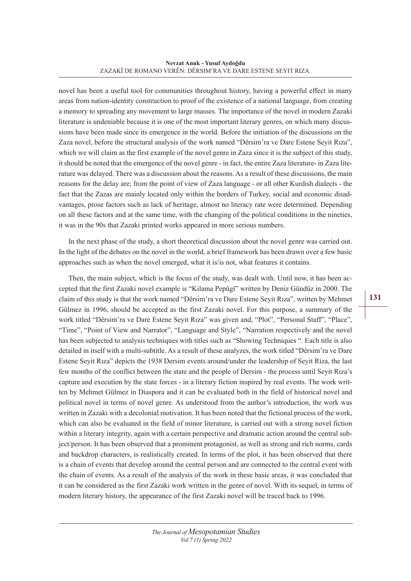novel has been a useful tool for communities throughout history, having a powerful effect in many areas from nation-identity construction to proof of the existence of a national language, from creating a memory to spreading any movement to large masses. The importance of the novel in modern Zazaki literature is undeniable because it is one of the most important literary genres, on which many discussions have been made since its emergence in the world. Before the initiation of the discussions on the Zaza novel, before the structural analysis of the work named "Dêrsim'ra ve Dare Estene Seyit Rıza", which we will claim as the first example of the novel genre in Zaza since it is the subject of this study, it should be noted that the emergence of the novel genre - in fact, the entire Zaza literature- in Zaza literature was delayed. There was a discussion about the reasons. As a result of these discussions, the main reasons for the delay are; from the point of view of Zaza language - or all other Kurdish dialects - the fact that the Zazas are mainly located only within the borders of Turkey, social and economic disadvantages, prose factors such as lack of heritage, almost no literacy rate were determined. Depending on all these factors and at the same time, with the changing of the political conditions in the nineties, it was in the 90s that Zazaki printed works appeared in more serious numbers.

In the next phase of the study, a short theoretical discussion about the novel genre was carried out. In the light of the debates on the novel in the world, a brief framework has been drawn over a few basic approaches such as when the novel emerged, what it is/is not, what features it contains.

Then, the main subject, which is the focus of the study, was dealt with. Until now, it has been accepted that the first Zazaki novel example is "Kilama Pepûgî" written by Deniz Gündüz in 2000. The claim of this study is that the work named "Dêrsim'ra ve Dare Estene Seyit Rıza", written by Mehmet Gülmez in 1996, should be accepted as the first Zazaki novel. For this purpose, a summary of the work titled "Dêrsim'ra ve Dare Estene Seyit Rıza" was given and, "Plot", "Personal Staff", "Place", "Time", "Point of View and Narrator", "Language and Style", "Narration respectively and the novel has been subjected to analysis techniques with titles such as "Showing Techniques ". Each title is also detailed in itself with a multi-subtitle. As a result of these analyzes, the work titled "Dêrsim'ra ve Dare Estene Seyit Rıza" depicts the 1938 Dersim events around/under the leadership of Seyit Riza, the last few months of the conflict between the state and the people of Dersim - the process until Seyit Rıza's capture and execution by the state forces - in a literary fiction inspired by real events. The work written by Mehmet Gülmez in Diaspora and it can be evaluated both in the field of historical novel and political novel in terms of novel genre. As understood from the author's introduction, the work was written in Zazaki with a decolonial motivation. It has been noted that the fictional process of the work, which can also be evaluated in the field of minor literature, is carried out with a strong novel fiction within a literary integrity, again with a certain perspective and dramatic action around the central subject/person. It has been observed that a prominent protagonist, as well as strong and rich norms, cards and backdrop characters, is realistically created. In terms of the plot, it has been observed that there is a chain of events that develop around the central person and are connected to the central event with the chain of events. As a result of the analysis of the work in these basic areas, it was concluded that it can be considered as the first Zazaki work written in the genre of novel. With its sequel, in terms of modern literary history, the appearance of the first Zazaki novel will be traced back to 1996.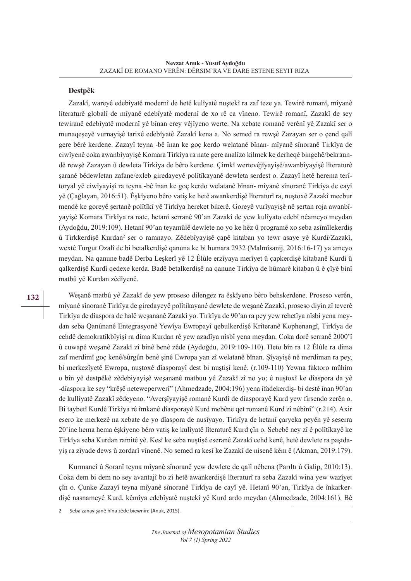#### **Destpêk**

Zazakî, wareyê edebîyatê modernî de hetê kulîyatê nuştekî ra zaf teze ya. Tewirê romanî, mîyanê lîteraturê globalî de mîyanê edebîyatê modernî de xo rê ca vîneno. Tewirê romanî, Zazakî de sey tewiranê edebîyatê modernî yê bînan erey vêjîyeno werte. Na xebate romanê verênî yê Zazakî ser o munaqeşeyê vurnayişê tarixê edebîyatê Zazakî kena a. No semed ra rewşê Zazayan ser o çend qalî gere bêrê kerdene. Zazayî teyna -bê înan ke goç kerdo welatanê bînan- mîyanê sînoranê Tirkîya de ciwîyenê coka awanbîyayişê Komara Tirkîya ra nate gere analîzo kilmek ke derheqê bingehê/bekraundê rewşê Zazayan û dewleta Tirkîya de bêro kerdene. Çimkî wertevêjîyayişê/awanbîyayişê lîteraturê şaranê bêdewletan zafane/exleb giredayeyê polîtîkayanê dewleta serdest o. Zazayî hetê herema terîtoryal yê ciwîyayişî ra teyna -bê înan ke goç kerdo welatanê bînan- mîyanê sînoranê Tirkîya de cayî yê (Çağlayan, 2016:51). Êşkîyeno bêro vatiş ke hetê awankerdişê lîteraturî ra, nuştoxê Zazakî mecbur mendê ke goreyê şertanê polîtîkî yê Tirkîya hereket bikerê. Goreyê vurîyayişê nê şertan roja awanbîyayişê Komara Tirkîya ra nate, hetanî serranê 90'an Zazakî de yew kulîyato edebî nêameyo meydan (Aydoğdu, 2019:109). Hetanî 90'an teyamûlê dewlete no yo ke hêz û programê xo seba asîmîlekerdiş û Tirkkerdişê Kurdan<sup>2</sup> ser o ramnayo. Zêdebîyayişê çapê kitaban yo tewr asaye yê Kurdî/Zazakî, wextê Turgut Ozalî de bi betalkerdişê qanuna ke bi humara 2932 (Malmîsanij, 2016:16-17) ya ameyo meydan. Na qanune badê Derba Leşkerî yê 12 Êlûle erzîyaya merîyet û çapkerdişê kîtabanê Kurdî û qalkerdişê Kurdî qedexe kerda. Badê betalkerdişê na qanune Tirkîya de hûmarê kitaban û ê çîyê bînî matbû yê Kurdan zêdîyenê.

Weşanê matbû yê Zazakî de yew proseso dilengez ra êşkîyeno bêro behskerdene. Proseso verên, mîyanê sînoranê Tirkîya de giredayeyê polîtikayanê dewlete de weşanê Zazakî, proseso diyin zî teverê Tirkîya de dîaspora de halê weşananê Zazakî yo. Tirkîya de 90'an ra pey yew rehetîya nîsbî yena meydan seba Qanûnanê Entegrasyonê Yewîya Ewropayî qebulkerdişê Krîteranê Kophenangî, Tirkîya de cehdê demokratîkbîyişî ra dima Kurdan rê yew azadîya nîsbî yena meydan. Coka dorê serranê 2000'î û cuwapê weşanê Zazakî zî binê benê zêde (Aydoğdu, 2019:109-110). Heto bîn ra 12 Êlûle ra dima zaf merdimî goç kenê/sûrgûn benê şinê Ewropa yan zî welatanê bînan. Şîyayişê nê merdiman ra pey, bi merkezîyetê Ewropa, nuştoxê dîasporayî dest bi nuştişî kenê. (r.109-110) Yewna faktoro mûhîm o bîn yê destpêkê zêdebiyayişê weşananê matbuu yê Zazakî zî no yo; ê nuştoxî ke dîaspora da yê -dîaspora ke sey "krêşê neteweperwerî" (Ahmedzade, 2004:196) yena îfadekerdiş- bi destê înan 90'an de kullîyatê Zazakî zêdeyeno. "Averşîyayişê romanê Kurdî de dîasporayê Kurd yew firsendo zerên o. Bi taybetî Kurdê Tirkîya rê îmkanê dîasporayê Kurd mebêne qet romanê Kurd zî nêbînî" (r.214). Axir esero ke merkezê na xebate de yo dîaspora de nusîyayo. Tirkîya de hetanî çaryeka peyên yê seserra 20'ine hema hema êşkîyeno bêro vatiş ke kulîyatê lîteraturê Kurd çîn o. Sebebê ney zî ê polîtîkayê ke Tirkîya seba Kurdan ramitê yê. Kesî ke seba nuştişê eseranê Zazakî cehd kenê, hetê dewlete ra paştdayiş ra zîyade dews û zordarî vînenê. No semed ra kesî ke Zazakî de nisenê kêm ê (Akman, 2019:179).

Kurmancî û Soranî teyna mîyanê sînoranê yew dewlete de qalî nêbena (Parıltı û Galip, 2010:13). Coka dem bi dem no sey avantajî bo zî hetê awankerdişê lîteraturî ra seba Zazakî wina yew wazîyet çîn o. Çunke Zazayî teyna mîyanê sînoranê Tirkîya de cayî yê. Hetanî 90'an, Tirkîya de înkarkerdişê nasnameyê Kurd, kêmîya edebîyatê nuştekî yê Kurd ardo meydan (Ahmedzade, 2004:161). Bê

2 Seba zanayişanê hîna zêde biewnîn: (Anuk, 2015).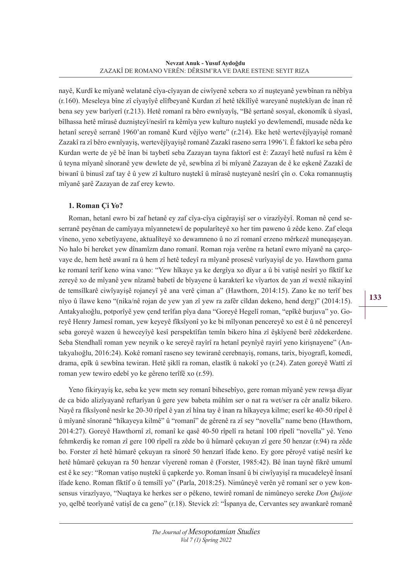nayê, Kurdî ke mîyanê welatanê cîya-cîyayan de ciwîyenê xebera xo zî nuşteyanê yewbînan ra nêbîya (r.160). Meseleya bîne zî cîyayîyê elîfbeyanê Kurdan zî hetê têkîlîyê wareyanê nuştekîyan de înan rê bena sey yew barîyerî (r.213). Hetê romanî ra bêro ewnîyayîş, "Bê şertanê sosyal, ekonomîk û sîyasî, bîlhassa hetê mîrasê duznişteyî/nesîrî ra kêmîya yew kulturo nuştekî yo dewlemendî, musade nêda ke hetanî sereyê serranê 1960'an romanê Kurd vêjîyo werte" (r.214). Eke hetê wertevêjîyayişê romanê Zazakî ra zî bêro ewnîyayiş, wertevêjîyayişê romanê Zazakî raseno serra 1996'î. Ê faktorî ke seba pêro Kurdan werte de yê bê înan bi taybetî seba Zazayan tayna faktorî est ê: Zazayî hetê nufusî ra kêm ê û teyna mîyanê sînoranê yew dewlete de yê, sewbîna zî bi mîyanê Zazayan de ê ke eşkenê Zazakî de biwanî û binusî zaf tay ê û yew zî kulturo nuştekî û mîrasê nuşteyanê nesîrî çîn o. Coka romannuştiş mîyanê şarê Zazayan de zaf erey kewto.

## **1. Roman Çi Yo?**

Roman, hetanî ewro bi zaf hetanê ey zaf cîya-cîya cigêrayişî ser o virazîyêyî. Roman nê çend seserranê peyênan de camîyaya mîyannetewî de popularîteyê xo her tim paweno û zêde keno. Zaf eleqa vîneno, yeno xebetîyayene, aktualîteyê xo dewamneno û no zî romanî erzeno mêrkezê muneqaşeyan. No halo bi hereket yew dînamîzm dano romanî. Roman roja verêne ra hetanî ewro mîyanê na çarçovaye de, hem hetê awanî ra û hem zî hetê tedeyî ra mîyanê prosesê vurîyayişî de yo. Hawthorn gama ke romanî terîf keno wina vano: "Yew hîkaye ya ke dergîya xo dîyar a û bi vatişê nesîrî yo fîktîf ke zereyê xo de mîyanê yew nîzamê babetî de bîyayene û karakterî ke vîyartox de yan zî wextê nikayinî de temsîlkarê ciwîyayişê rojaneyî yê ana verê çiman a" (Hawthorn, 2014:15). Zano ke no terîf bes nîyo û îlawe keno "(nika/nê rojan de yew yan zî yew ra zafêr cîldan dekeno, hend derg)" (2014:15). Antakyalıoğlu, potporîyê yew çend terîfan pîya dana "Goreyê Hegelî roman, "epîkê burjuva" yo. Goreyê Henry Jamesî roman, yew keyeyê fîksîyonî yo ke bi mîlyonan pencereyê xo est ê û nê pencereyî seba goreyê wazen û hewceyîyê kesî perspektîfan temîn bikero hîna zî êşkîyenê berê zêdekerdene. Seba Stendhalî roman yew neynik o ke sereyê rayîrî ra hetanî peynîyê rayirî yeno kirişnayene" (Antakyalıoğlu, 2016:24). Kokê romanî raseno sey tewiranê cerebnayiş, romans, tarix, biyografî, komedî, drama, epîk û sewbîna tewiran. Hetê şiklî ra roman, elastîk û nakokî yo (r.24). Zaten goreyê Wattî zî roman yew tewiro edebî yo ke gêreno terîfê xo (r.59).

Yeno fikiryayiş ke, seba ke yew metn sey romanî bihesebîyo, gere roman mîyanê yew rewşa dîyar de ca bido alizîyayanê reftarîyan û gere yew babeta mûhîm ser o nat ra wet/ser ra cêr analîz bikero. Nayê ra fîksîyonê nesîr ke 20-30 rîpel ê yan zî hîna tay ê înan ra hîkayeya kilme; eserî ke 40-50 rîpel ê û mîyanê sînoranê "hîkayeya kilmê" û "romanî" de gêrenê ra zî sey "novella" name beno (Hawthorn, 2014:27). Goreyê Hawthornî zî, romanî ke qasê 40-50 rîpelî ra hetanî 100 rîpelî "novella" yê. Yeno fehmkerdiş ke roman zî gere 100 rîpelî ra zêde bo û hûmarê çekuyan zî gere 50 henzar (r.94) ra zêde bo. Forster zî hetê hûmarê çekuyan ra sînorê 50 henzarî îfade keno. Ey gore pêroyê vatişê nesîrî ke hetê hûmarê çekuyan ra 50 henzar vîyerenê roman ê (Forster, 1985:42). Bê înan taynê fikrê umumî est ê ke sey: "Roman vatişo nuştekî û çapkerde yo. Roman însanî û bi ciwîyayişî ra mucadeleyê însanî îfade keno. Roman fîktîf o û temsîlî yo" (Parla, 2018:25). Nimûneyê verên yê romanî ser o yew konsensus virazîyayo, "Nuqtaya ke herkes ser o pêkeno, tewirê romanî de nimûneyo sereke *Don Quijote* yo, qelbê teorîyanê vatişî de ca geno" (r.18). Stevick zî: "Îspanya de, Cervantes sey awankarê romanê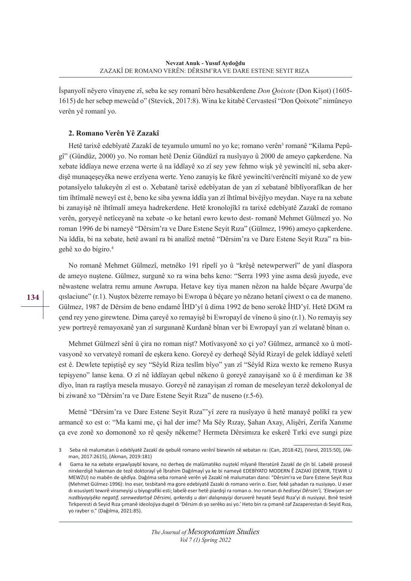Îspanyolî nêyero vînayene zî, seba ke sey romanî bêro hesabkerdene *Don Qoixote* (Don Kişot) (1605- 1615) de her sebep mewcûd o" (Stevick, 2017:8). Wina ke kitabê Cervastesî "Don Qoixote" nimûneyo verên yê romanî yo.

#### **2. Romano Verên Yê Zazakî**

Hetê tarixê edebîyatê Zazakî de teyamulo umumî no yo ke; romano verên<sup>3</sup> romanê ''Kilama Pepûgî" (Gündüz, 2000) yo. No roman hetê Deniz Gündüzî ra nusîyayo û 2000 de ameyo çapkerdene. Na xebate îddîaya newe erzena werte û na îddîayê xo zî sey yew fehmo wişk yê yewincîtî nî, seba akerdişê munaqeşeyêka newe erzîyena werte. Yeno zanayiş ke fikrê yewincîtî/verêncîtî miyanê xo de yew potansîyelo talukeyên zî est o. Xebatanê tarixê edebîyatan de yan zî xebatanê bîblîyorafîkan de her tim îhtîmalê neweyî est ê, beno ke siba yewna îddîa yan zî îhtîmal bivêjîyo meydan. Naye ra na xebate bi zanayişê nê îhtîmalî ameya hadrekerdene. Hetê kronolojîkî ra tarixê edebîyatê Zazakî de romano verên, goryeyê netîceyanê na xebate -o ke hetanî ewro kewto dest- romanê Mehmet Gülmezî yo. No roman 1996 de bi nameyê "Dêrsim'ra ve Dare Estene Seyit Rıza" (Gülmez, 1996) ameyo çapkerdene. Na îddîa, bi na xebate, hetê awanî ra bi analîzê metnê "Dêrsim'ra ve Dare Estene Seyit Rıza" ra bingehê xo do bigiro.4

No romanê Mehmet Gülmezî, metnêko 191 rîpelî yo û "krêşê netewperwerî" de yanî dîaspora de ameyo nuştene. Gülmez, surgunê xo ra wina behs keno: "Serra 1993 yine asma desû juyede, eve nêwastene welatra remu amune Awrupa. Hetave key tiya manen nêzon na halde bêçare Awurpa'de qıslaciune" (r.1). Nuştox bêzerre remayo bi Ewropa û bêçare yo nêzano hetanî çiwext o ca de maneno. Gülmez, 1987 de Dêrsim de beno endamê ÎHD'yî û dima 1992 de beno serokê ÎHD'yî. Hetê DGM ra çend rey yeno girewtene. Dima çareyê xo remayişê bi Ewropayî de vîneno û şino (r.1). No remayiş sey yew portreyê remayoxanê yan zî surgunanê Kurdanê bînan ver bi Ewropayî yan zî welatanê bînan o.

Mehmet Gülmezî sênî û çira no roman nişt? Motîvasyonê xo çi yo? Gülmez, armancê xo û motîvasyonê xo vervateyê romanî de eşkera keno. Goreyê ey derheqê Sêyîd Rizayî de gelek îddîayê xeletî est ê. Dewlete tepiştişê ey sey "Sêyîd Riza teslîm bîyo" yan zî "Sêyîd Riza wexto ke remeno Rusya tepişyeno" lanse kena. O zî nê îddîayan qebul nêkeno û goreyê zanayişanê xo û ê merdiman ke 38 dîyo, înan ra raştîya mesela musayo. Goreyê nê zanayişan zî roman de meseleyan terzê dekolonyal de bi ziwanê xo "Dêrsim'ra ve Dare Estene Seyit Rıza" de nuseno (r.5-6).

Metnê "Dêrsim'ra ve Dare Estene Seyit Rıza"'yî zere ra nusîyayo û hetê manayê polîkî ra yew armancê xo est o: "Ma kami me, çi hal der ime? Ma Sêy Rızay, Şahan Axay, Alişêri, Zerifa Xanıme ça eve zonê xo domononê xo rê qesêy nêkeme? Hermeta Dêrsimıza ke eskerê Tırki eve sungi pize

<sup>3</sup> Seba nê malumatan û edebîyatê Zazakî de qebulê romano verênî biewnîn nê xebatan ra: (Can, 2018:42), (Varol, 2015:50), (Akman, 2017:2615), (Akman, 2019:181)

<sup>4</sup> Gama ke na xebate erşawîyaybî kovare, no derheq de malûmatêko nuştekî mîyanê lîteratûrê Zazakî de çîn bî. Labelê prosesê nirxkerdişê hakeman de tezê doktorayî yê İbrahim Dağılmayî ya ke bi nameyê EDEBİYATO MODERN Ê ZAZAKİ (DEWIR, TEWIR U MEWZU) no mabên de qêdîya. Dağılma seba romanê verên yê Zazakî nê malumatan dano: "Dêrsim'ra ve Dare Estene Seyit Rıza (Mehmet Gülmez-1996): Ino eser, tesbitanê ma gore edebiyatê Zazaki dı romano verin o. Eser, fekê şahadan ra nusiyayo. U eser dı xısusiyeti tewırê virameyişi u biyografiki esti; labelê eser hetê piardışi ra roman o. Ino roman dı *hediseyi Dêrsim'i, 'Elewiyan ser nızdbiyayişêko negatif, sarewedartışê Dêrsimi, qırkerdış u dari dalıqnayişi* doruverê heyatê Seyid Rıza'yi dı nusiyayi. Bınê tesirê Tırkperesti dı Seyid Rıza çımanê ideolojiya dugel dı 'Dêrsim dı yo serêko asi yo.' Heto bin ra çımanê zaf Zazaperestan dı Seyid Rıza, yo rayber o." (Dağılma, 2021:85).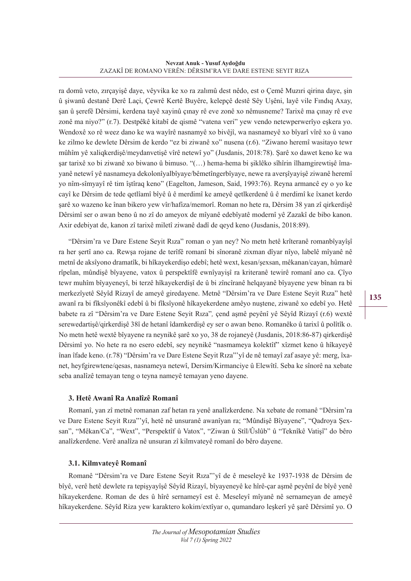#### **Nevzat Anuk - Yusuf Aydoğdu** ZAZAKÎ DE ROMANO VERÊN: DÊRSIM'RA VE DARE ESTENE SEYIT RIZA

ra domû veto, zırçayişê daye, vêyvika ke xo ra zalımû dest nêdo, est o Çemê Muzıri qirina daye, şin û şiwanû destanê Derê Laçi, Çewrê Kertê Buyêre, kelepçê destê Sêy Uşêni, layê vile Fındıq Axay, şan û şerefê Dêrsimi, kerdena tayê xayinû çınay rê eve zonê xo nêmusneme? Tarixê ma çınay rê eve zonê ma niyo?" (r.7). Destpêkê kitabî de qismê "vatena veri" yew vendo netewperwerîyo eşkera yo. Wendoxê xo rê weez dano ke wa wayîrê nasnamyê xo bivêjî, wa nasnameyê xo bîyarî vîrê xo û vano ke zilmo ke dewlete Dêrsim de kerdo "ez bi ziwanê xo" nusena (r.6). "Ziwano heremî wasitayo tewr mûhîm yê xaliqkerdişê/meydanvetişê vîrê netewî yo" (Jusdanis, 2018:78). Şarê xo dawet keno ke wa şar tarixê xo bi ziwanê xo biwano û bimuso. "(…) hema-hema bi şiklêko sîhîrin îlhamgirewtişê îmayanê netewî yê nasnameya dekolonîyalbîyaye/bêmetîngerbîyaye, newe ra averşîyayişê ziwanê heremî yo nîm-sîmyayî rê tim îştîraq keno" (Eagelton, Jameson, Said, 1993:76). Reyna armancê ey o yo ke cayî ke Dêrsim de tede qetlîamî bîyê û ê merdimî ke ameyê qetlkerdenê û ê merdimî ke îxanet kerdo şarê xo wazeno ke înan bikero yew vîr/hafiza/memorî. Roman no hete ra, Dêrsim 38 yan zî qirkerdişê Dêrsimî ser o awan beno û no zî do ameyox de mîyanê edebîyatê modernî yê Zazakî de bibo kanon. Axir edebiyat de, kanon zî tarixê miletî ziwanê dadî de qeyd keno (Jusdanis, 2018:89).

"Dêrsim'ra ve Dare Estene Seyit Rıza" roman o yan ney? No metn hetê krîteranê romanbîyayîşî ra her şertî ano ca. Rewşa rojane de terîfê romanî bi sînoranê zixman dîyar nîyo, labelê mîyanê nê metnî de aksîyono dramatîk, bi hîkayekerdişo edebî; hetê wext, kesan/şexsan, mêkanan/cayan, hûmarê rîpelan, mûndişê bîyayene, vatox û perspektîfê ewnîyayişî ra kriteranê tewirê romanî ano ca. Çîyo tewr muhîm bîyayeneyî, bi terzê hîkayekerdişî de û bi zîncîranê helqayanê bîyayene yew bînan ra bi merkezîyetê Sêyîd Rizayî de ameyê giredayene. Metnê "Dêrsim'ra ve Dare Estene Seyit Rıza" hetê awanî ra bi fîksîyonêkî edebî û bi fîksîyonê hîkayekerdene amêyo nuştene, ziwanê xo edebî yo. Hetê babete ra zî "Dêrsim'ra ve Dare Estene Seyit Rıza"*,* çend aşmê peyênî yê Sêyîd Rizayî (r.6) wextê serewedartişê/qirkerdişê 38î de hetanî îdamkerdişê ey ser o awan beno. Romanêko û tarixî û polîtîk o. No metn hetê wextê bîyayene ra neynikê şarê xo yo, 38 de rojaneyê (Jusdanis, 2018:86-87) qirkerdişê Dêrsimî yo. No hete ra no esero edebî, sey neynikê "nasmameya kolektîf" xîzmet keno û hîkayeyê înan îfade keno. (r.78) "Dêrsim'ra ve Dare Estene Seyit Rıza"'yî de nê temayî zaf asaye yê: merg, îxanet, heyfgirewtene/qesas, nasnameya netewî, Dersim/Kirmanciye û Elewîtî. Seba ke sînorê na xebate seba analîzê temayan teng o teyna nameyê temayan yeno dayene.

#### **3. Hetê Awanî Ra Analîzê Romanî**

Romanî, yan zî metnê romanan zaf hetan ra yenê analîzkerdene. Na xebate de romanê "Dêrsim'ra ve Dare Estene Seyit Rıza"'yî, hetê nê unsuranê awanîyan ra; "Mûndişê Bîyayene", "Qadroya Şexsan", "Mêkan/Ca", "Wext", "Perspektîf û Vatox", "Ziwan û Stîl/Ûslûb" û "Teknîkê Vatişî" do bêro analîzkerdene. Verê analîza nê unsuran zî kilmvateyê romanî do bêro dayene.

## **3.1. Kilmvateyê Romanî**

Romanê "Dêrsim'ra ve Dare Estene Seyit Rıza"'yî de ê meseleyê ke 1937-1938 de Dêrsim de bîyê, verê hetê dewlete ra tepişyayîşê Sêyîd Rizayî, bîyayeneyê ke hîrê-çar aşmê peyênî de bîyê yenê hîkayekerdene. Roman de des û hîrê sernameyî est ê. Meseleyî mîyanê nê sernameyan de ameyê hîkayekerdene. Sêyîd Riza yew karaktero kokim/extîyar o, qumandaro leşkerî yê şarê Dêrsimî yo. O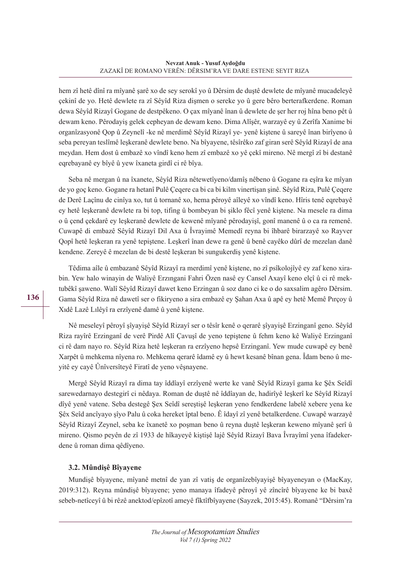hem zî hetê dînî ra mîyanê şarê xo de sey serokî yo û Dêrsim de duştê dewlete de mîyanê mucadeleyê çekinî de yo. Hetê dewlete ra zî Sêyîd Riza dişmen o sereke yo û gere bêro berterafkerdene. Roman dewa Sêyîd Rizayî Gogane de destpêkeno. O çax mîyanê înan û dewlete de şer her roj hîna beno pêt û dewam keno. Pêrodayiş gelek cepheyan de dewam keno. Dima Alîşêr, warzayê ey û Zerîfa Xanime bi organîzasyonê Qop û Zeynelî -ke nê merdimê Sêyîd Rizayî ye- yenê kiştene û sareyê înan birîyeno û seba pereyan teslîmê leşkeranê dewlete beno. Na bîyayene, têsîrêko zaf giran serê Sêyîd Rizayî de ana meydan. Hem dost û embazê xo vîndî keno hem zî embazê xo yê çekî mireno. Nê mergî zî bi destanê eqrebayanê ey bîyê û yew îxaneta girdî ci rê bîya.

Seba nê mergan û na îxanete, Sêyîd Riza nêtewetîyeno/damîş nêbeno û Gogane ra eşîra ke mîyan de yo goç keno. Gogane ra hetanî Pulê Çeqere ca bi ca bi kilm vinertişan şinê. Sêyîd Riza, Pulê Çeqere de Derê Laçînu de cinîya xo, tut û tornanê xo, hema pêroyê aîleyê xo vîndî keno. Hîris tenê eqrebayê ey hetê leşkeranê dewlete ra bi top, tifing û bombeyan bi şiklo fêcî yenê kiştene. Na mesele ra dima o û çend çekdarê ey leşkeranê dewlete de kewenê mîyanê pêrodayişî, gonî manenê û o ca ra remenê. Cuwapê di embazê Sêyîd Rizayî Dil Axa û Îvrayimê Memedî reyna bi îhbarê birarzayê xo Rayver Qopî hetê leşkeran ra yenê tepiştene. Leşkerî înan dewe ra genê û benê cayêko dûrî de mezelan danê kendene. Zereyê ê mezelan de bi destê leşkeran bi sungukerdiş yenê kiştene.

Têdima aîle û embazanê Sêyîd Rizayî ra merdimî yenê kiştene, no zî psîkolojîyê ey zaf keno xirabin. Yew halo winayin de Waliyê Erzıngani Fahri Özen nasê ey Cansel Axayî keno elçî û ci rê mektubêkî şaweno. Walî Sêyîd Rizayî dawet keno Erzingan û soz dano ci ke o do saxsalim agêro Dêrsim. Gama Sêyîd Riza nê dawetî ser o fikiryeno a sira embazê ey Şahan Axa û apê ey hetê Memê Pırçoy û Xıdê Lazê Lılêyî ra erzîyenê damê û yenê kiştene.

Nê meseleyî pêroyî şîyayişê Sêyîd Rizayî ser o têsîr kenê o qerarê şîyayişê Erzinganî geno. Sêyîd Riza rayîrê Erzinganî de verê Pirdê Alî Çavuşî de yeno tepiştene û fehm keno kê Waliyê Erzinganî ci rê dam nayo ro. Sêyîd Riza hetê leşkeran ra erzîyeno hepsê Erzinganî. Yew mude cuwapê ey benê Xarpêt û mehkema nîyena ro. Mehkema qerarê îdamê ey û hewt kesanê bînan gena. Îdam beno û meyitê ey cayê Ûnîversîteyê Firatî de yeno vêşnayene.

Mergê Sêyîd Rizayî ra dima tay îddîayî erzîyenê werte ke vanê Sêyîd Rizayî gama ke Şêx Seîdî sarewedarnayo destegirî ci nêdaya. Roman de duştê nê îddîayan de, hadirîyê leşkerî ke Sêyîd Rizayî dîyê yenê vatene. Seba destegê Şex Seîdî sereştişê leşkeran yeno fendkerdene labelê xebere yena ke Şêx Seîd ancîyayo şîyo Palu û coka hereket îptal beno. Ê îdayî zî yenê betalkerdene. Cuwapê warzayê Sêyîd Rizayî Zeynel, seba ke îxanetê xo poşman beno û reyna duştê leşkeran keweno mîyanê şerî û mireno. Qismo peyên de zî 1933 de hîkayeyê kiştişê lajê Sêyîd Rizayî Bava Îvrayîmî yena îfadekerdene û roman dima qêdîyeno.

## **3.2. Mûndişê Bîyayene**

Mundişê bîyayene, mîyanê metnî de yan zî vatiş de organîzebîyayişê bîyayeneyan o (MacKay, 2019:312). Reyna mûndişê bîyayene; yeno manaya îfadeyê pêroyî yê zîncîrê bîyayene ke bi baxê sebeb-netîceyî û bi rêzê anektod/epîzotî ameyê fîktîfbîyayene (Sayzek, 2015:45). Romanê "Dêrsim'ra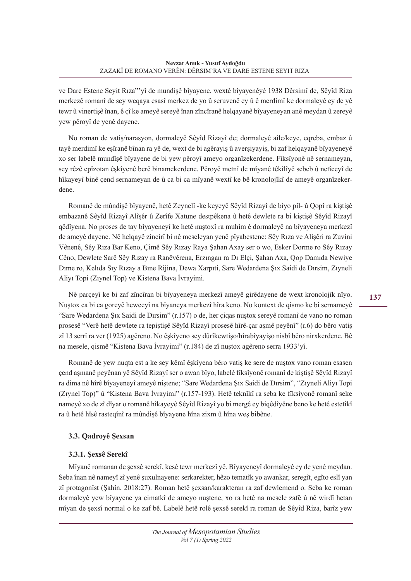ve Dare Estene Seyit Rıza"'yî de mundişê bîyayene, wextê bîyayenêyê 1938 Dêrsimî de, Sêyîd Riza merkezê romanî de sey weqaya esasî merkez de yo û seruvenê ey û ê merdimî ke dormaleyê ey de yê tewr û vinertişê înan, ê çî ke ameyê sereyê înan zîncîranê helqayanê bîyayeneyan anê meydan û zereyê yew pêroyî de yenê dayene.

No roman de vatiş/narasyon, dormaleyê Sêyîd Rizayî de; dormaleyê aîle/keye, eqreba, embaz û tayê merdimî ke eşîranê bînan ra yê de, wext de bi agêrayiş û averşiyayiş, bi zaf helqayanê bîyayeneyê xo ser labelê mundîşê bîyayene de bi yew pêroyî ameyo organîzekerdene. Fîksîyonê nê sernameyan, sey rêzê epîzotan êşkîyenê berê binamekerdene. Pêroyê metnî de mîyanê têkîlîyê sebeb û netîceyî de hîkayeyî binê çend sernameyan de û ca bi ca mîyanê wextî ke bê kronolojîkî de ameyê organîzekerdene.

Romanê de mûndişê bîyayenê, hetê Zeynelî -ke keyeyê Sêyîd Rizayî de bîyo pîl- û Qopî ra kiştişê embazanê Sêyîd Rizayî Alîşêr û Zerîfe Xatune destpêkena û hetê dewlete ra bi kiştişê Sêyîd Rizayî qêdîyena. No proses de tay bîyayeneyî ke hetê nuştoxî ra muhîm ê dormaleyê na bîyayeneya merkezî de ameyê dayene. Nê helqayê zincîrî bi nê meseleyan yenê pîyabestene: Sêy Rıza ve Alişêri ra Zuvini Vênenê, Sêy Rıza Bar Keno, Çimê Sêy Rızay Raya Şahan Axay ser o wo, Esker Dorme ro Sêy Rızay Cêno, Dewlete Sarê Sêy Rızay ra Ranêvêrena, Erzıngan ra Dı Elçi, Şahan Axa, Qop Damıda Newiye Dıme ro, Kelıda Sıy Rızay a Bıne Rijina, Dewa Xarpıti, Sare Wedardena Şıx Saidi de Dırsim, Zıyneli Aliyı Topi (Zıynel Top) ve Kistena Bava İvrayimi.

Nê parçeyî ke bi zaf zîncîran bi bîyayeneya merkezî ameyê girêdayene de wext kronolojîk nîyo. Nuştox ca bi ca goreyê hewceyî na bîyaneya merkezî hîra keno. No kontext de qismo ke bi sernameyê "Sare Wedardena Şıx Saidi de Dırsim" (r.157) o de, her çiqas nuştox sereyê romanî de vano no roman prosesê "Verê hetê dewlete ra tepiştişê Sêyîd Rizayî prosesê hîrê-çar aşmê peyênî" (r.6) do bêro vatiş zî 13 serrî ra ver (1925) agêreno. No êşkîyeno sey dûrîkewtişo/hîrabîyayişo nisbî bêro nirxkerdene. Bê na mesele, qismê "Kistena Bava İvrayimi" (r.184) de zî nuştox agêreno serra 1933'yî.

Romanê de yew nuqta est a ke sey kêmî êşkîyena bêro vatiş ke sere de nuştox vano roman esasen çend aşmanê peyênan yê Sêyîd Rizayî ser o awan bîyo, labelê fîksîyonê romanî de kiştişê Sêyîd Rizayî ra dima nê hîrê bîyayeneyî ameyê niştene; "Sare Wedardena Şıx Saidi de Dırsim", "Zıyneli Aliyı Topi (Zıynel Top)" û "Kistena Bava İvrayimi" (r.157-193). Hetê teknîkî ra seba ke fîksîyonê romanî seke nameyê xo de zî dîyar o romanê hîkayeyê Sêyîd Rizayî yo bi mergê ey biqêdîyêne beno ke hetê estetîkî ra û hetê hîsê rasteqînî ra mûndişê bîyayene hîna zixm û hîna weş bibêne.

## **3.3. Qadroyê Şexsan**

#### **3.3.1. Şexsê Serekî**

Mîyanê romanan de şexsê serekî, kesê tewr merkezî yê. Bîyayeneyî dormaleyê ey de yenê meydan. Seba înan nê nameyî zî yenê şuxulnayene: serkarekter, hêzo tematîk yo awankar, seregît, egîto eslî yan zî protagonîst (Şahîn, 2018:27). Roman hetê şexsan/karakteran ra zaf dewlemend o. Seba ke roman dormaleyê yew bîyayene ya cimatkî de ameyo nuştene, xo ra hetê na mesele zafê û nê wirdî hetan mîyan de şexsî normal o ke zaf bê. Labelê hetê rolê şexsê serekî ra roman de Sêyîd Riza, barîz yew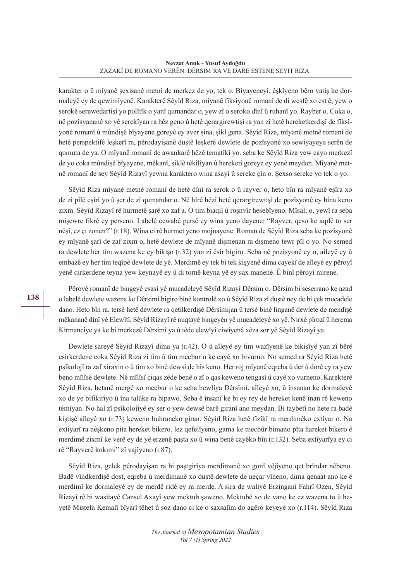karakter o û mîyanê şexisanê metnî de merkez de yo, tek o. Bîyayeneyî, êşkîyeno bêro vatiş ke dormaleyê ey de qewimîyenê. Karakterê Sêyîd Riza, mîyanê fîksîyonê romanî de di wesfê xo est ê; yew o serokê serewedartişî yo polîtîk o yanî qumandar o, yew zî o seroko dînî û ruhanî yo. Rayber o. Coka o, nê pozîsyananê xo yê serekîyan ra hêz geno û hetê qerargirewtişî ra yan zî hetê hereketkerdişî de fîksîyonê romanî û mûndişê bîyayene goreyê ey aver şina, şikl gena. Sêyîd Riza, mîyanê metnê romanî de hetê perspektîfê leşkerî ra, pêrodayişanê duştê leşkerê dewlete de pozîsyonê xo sewîyayeya serên de qomuta de ya. O mîyanê romanî de awankarê hêzê tematîkî yo. seba ke Sêyîd Riza yew cayo merkezî de yo coka mûndişê bîyayene, mêkanî, şiklê têkîlîyan û hereketî goreye ey yenê meydan. Mîyanê metnê romanî de sey Sêyîd Rizayî yewna karaktero wina asayî û sereke çîn o. Şexso sereke yo tek o yo.

Sêyîd Riza mîyanê metnê romanî de hetê dînî ra serok o û rayver o, heto bîn ra mîyanê eşîra xo de zî pîlê eşîrî yo û şer de zî qumandar o. Nê hîrê hêzî hetê qerargirewtişî de pozîsyonê ey hîna keno zixm. Sêyîd Rizayî rê hurmetê şarê xo zaf a. O tim biaqil û roşnvîr hesebîyeno. Mîsal; o, yewî ra seba mişewre fikrê ey perseno. Labelê cewabê persê ey wina yeno dayene: "Rayver, qeso ke aqılê to ser nêşi, ez çı zonen?" (r.18). Wina ci rê hurmet yeno mojnayene. Roman de Sêyîd Riza seba ke pozîsyonê ey mîyanê şarî de zaf zixm o, hetê dewlete de mîyanê dişmenan ra dişmeno tewr pîl o yo. No semed ra dewlete her tim wazena ke ey bikişo (r.32) yan zî êsîr bigiro. Seba nê pozîsyonê ey o, aîleyê ey û embazê ey her tim teqîpê dewlete de yê. Merdimê ey tek bi tek kişyenê dima cayekî de aîleyê ey pêroyî yenê qirkerdene teyna yew keynayê ey û di tornê keyna yê ey sax manenê. Ê bînî pêroyî mirene.

Pêroyê romanî de bingeyê esasî yê mucadeleyê Sêyîd Rizayî Dêrsim o. Dêrsim bi seserrano ke azad o labelê dewlete wazena ke Dêrsimî bigiro binê kontrolê xo û Sêyîd Riza zî duştê ney de bi çek mucadele dano. Heto bîn ra, tersê hetê dewlete ra qetilkerdişê Dêrsîmijan û tersê binê linganê dewlete de mendişê mêkananê dînî yê Elewîtî, Sêyîd Rizayî rê nuqtayê bingeyên yê mucadeleyê xo yê. Nirxê pîrozî û herema Kirmanciye ya ke bi merkezê Dêrsimî ya û têde elewîyî ciwîyenê xêza sor yê Sêyîd Rizayî ya.

Dewlete sareyê Sêyîd Rizayî dima ya (r.42). O û aîleyê ey tim wazîyenê ke bikişîyê yan zî bêrê esîrkerdene coka Sêyîd Riza zî tim û tim mecbur o ke cayê xo bivurno. No semed ra Sêyîd Riza hetê psîkolojî ra zaf xiraxin o û tim xo binê dewsî de hîs keno. Her roj mîyanê eqreba û der û dorê ey ra yew beno mîlîsê dewlete. Nê mîlîsî çiqas zêde benê o zî o qas keweno tengasî û cayê xo vurneno. Karekterê Sêyîd Riza, hetanê mergê xo mecbur o ke seba hewlîya Dêrsîmî, aîleyê xo, û însanan ke dormaleyê xo de ye bifikirîyo û îna talûke ra bipawo. Seba ê însanî ke bi ey rey de hereket kenê înan rê keweno têmîyan. No hal zî psîkolojîyê ey ser o yew dewsê barê giranî ano meydan. Bi taybetî no hete ra badê kiştişê aîleyê xo (r.73) keweno buhraneko giran. Sêyîd Riza hetê fîzîkî ra merdimêko extîyar o. Na extîyarî ra nêşkeno pîta hereket bikero, lez qefelîyeno, gama ke mecbûr bimano pîta hareket bikero ê merdimê zixmî ke verê ey de yê erzenê paşta xo û wina benê cayêko bîn (r.132). Seba extîyarîya ey ci rê "Rayverê kokımi" zî vajîyeno (r.87).

Sêyîd Riza, gelek pêrodayişan ra bi paştgirîya merdimanê xo gonî vêjîyeno qet brîndar nêbeno. Badê vîndkerdişê dost, eqreba û merdimanê xo duştê dewlete de neçar vîneno, dima qenaat ano ke ê merdimî ke dormaleyê ey de merdê ridê ey ra merde. A sira de waliyê Erzinganî Fahrî Ozen, Sêyîd Rizayî rê bi wasitayê Cansel Axayî yew mektub şaweno. Mektubê xo de vano ke ez wazena to û heyetê Mistefa Kemalî bîyarî têhet û soz dano cı ke o saxsalîm do agêro keyeyê xo (r.114). Sêyîd Riza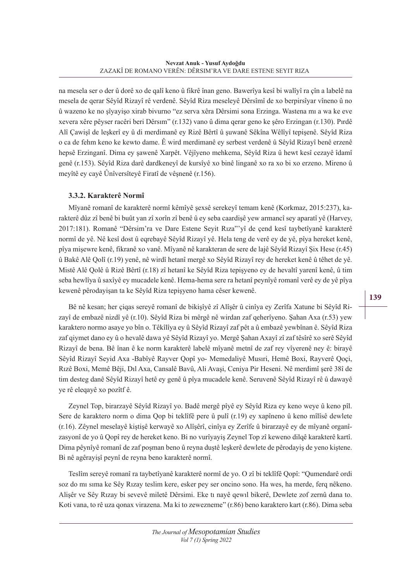na mesela ser o der û dorê xo de qalî keno û fikrê înan geno. Bawerîya kesî bi walîyî ra çîn a labelê na mesela de qerar Sêyîd Rizayî rê verdenê. Sêyîd Riza meseleyê Dêrsîmî de xo berpirsîyar vîneno û no û wazeno ke no şîyayişo xirab bivurno "ez serva xêra Dêrsimi sona Erzinga. Wastena mı a wa ke eve xevera xêre pêyser racêri beri Dêrsım" (r.132) vano û dima qerar geno ke şêro Erzingan (r.130). Pırdê Alî Çawişî de leşkerî ey û di merdimanê ey Rizê Bêrtî û şuwanê Sêkîna Wêlîyî tepişenê. Sêyîd Riza o ca de fehm keno ke kewto dame. Ê wird merdimanê ey serbest verdenê û Sêyîd Rizayî benê erzenê hepsê Erzinganî. Dima ey şawenê Xarpêt. Vêjîyeno mehkema, Sêyîd Riza û hewt kesî cezayê îdamî genê (r.153). Sêyîd Riza darê dardkeneyî de kursîyê xo binê linganê xo ra xo bi xo erzeno. Mireno û meyîtê ey cayê Ûnîversîteyê Firatî de vêşnenê (r.156).

## **3.3.2. Karakterê Normî**

Mîyanê romanî de karakterê normî kêmîyê şexsê serekeyî temam kenê (Korkmaz, 2015:237), karakterê dûz zî benê bi buût yan zî xorîn zî benê û ey seba caardişê yew armancî sey aparatî yê (Harvey, 2017:181). Romanê "Dêrsim'ra ve Dare Estene Seyit Rıza"'yî de çend kesî taybetîyanê karakterê normî de yê. Nê kesî dost û eqrebayê Sêyîd Rizayî yê. Hela teng de verê ey de yê, pîya hereket kenê, pîya mişewre kenê, fikranê xo vanê. Mîyanê nê karakteran de sere de lajê Sêyîd Rizayî Şix Hese (r.45) û Bakê Alê Qolî (r.19) yenê, nê wirdî hetanî mergê xo Sêyîd Rizayî rey de hereket kenê û têhet de yê. Mistê Alê Qolê û Rizê Bêrtî (r.18) zî hetanî ke Sêyîd Riza tepişyeno ey de hevaltî yarenî kenê, û tim seba hewlîya û saxîyê ey mucadele kenê. Hema-hema sere ra hetanî peynîyê romanî verê ey de yê pîya kewenê pêrodayişan ta ke Sêyîd Riza tepişyeno hama cêser kewenê.

Bê nê kesan; her çiqas sereyê romanî de bikişîyê zî Alîşêr û cinîya ey Zerîfa Xatune bi Sêyîd Rizayî de embazê nizdî yê (r.10). Sêyîd Riza bi mêrgê nê wirdan zaf qeherîyeno. Şahan Axa (r.53) yew karaktero normo asaye yo bîn o. Têkîlîya ey û Sêyîd Rizayî zaf pêt a û embazê yewbînan ê. Sêyîd Riza zaf qiymet dano ey û o hevalê dawa yê Sêyîd Rizayî yo. Mergê Şahan Axayî zî zaf têsîrê xo serê Sêyîd Rizayî de bena. Bê înan ê ke norm karakterê labelê mîyanê metnî de zaf rey vîyerenê ney ê: birayê Sêyîd Rizayî Seyid Axa -Babîyê Rayver Qopî yo- Memedaliyê Musıri, Hemê Boxi, Rayverê Qoçi, Rızê Boxi, Memê Bêji, Dıl Axa, Cansalê Bavû, Ali Avaşi, Ceniya Pir Heseni. Nê merdimî şerê 38î de tim desteg danê Sêyîd Rizayî hetê ey genê û pîya mucadele kenê. Seruvenê Sêyîd Rizayî rê û dawayê ye rê eleqayê xo pozîtf ê.

Zeynel Top, birarzayê Sêyîd Rizayî yo. Badê mergê pîyê ey Sêyîd Riza ey keno weye û keno pîl. Sere de karaktero norm o dima Qop bi teklîfê pere û pulî (r.19) ey xapîneno û keno mîlîsê dewlete (r.16). Zêynel meselayê kiştişê kerwayê xo Alîşêrî, cinîya ey Zerîfe û birarzayê ey de mîyanê organîzasyonî de yo û Qopî rey de hereket keno. Bi no vurîyayiş Zeynel Top zî keweno dilqê karakterê kartî. Dima pêynîyê romanî de zaf poşman beno û reyna duştê leşkerê dewlete de pêrodayiş de yeno kiştene. Bi nê agêrayişî peynî de reyna beno karakterê normî.

Teslîm sereyê romanî ra taybetîyanê karakterê normî de yo. O zî bi teklîfê Qopî: "Qumendarê ordi soz do mı sıma ke Sêy Rızay teslim kere, esker pey ser oncino sono. Ha wes, ha merde, ferq nêkeno. Alişêr ve Sêy Rızay bi sevevê miletê Dêrsimi. Eke tı nayê qewıl bikerê, Dewlete zof zernû dana to. Koti vana, to rê uza qonax virazena. Ma ki to zewezneme" (r.86) beno karaktero kart (r.86). Dima seba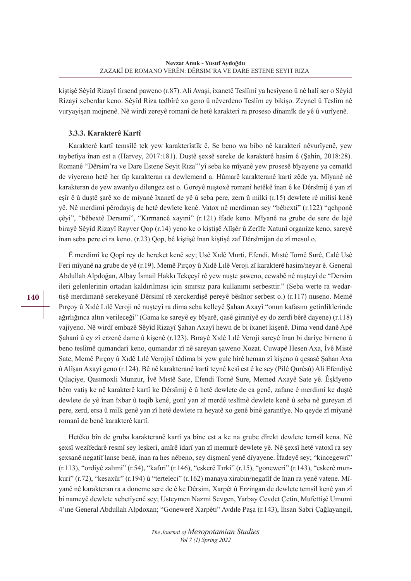kiştişê Sêyîd Rizayî firsend paweno (r.87). Ali Avaşi, îxanetê Teslîmî ya hesîyeno û nê halî ser o Sêyîd Rizayî xeberdar keno. Sêyîd Riza tedbîrê xo geno û nêverdeno Teslîm ey bikişo. Zeynel û Teslîm nê vuryayişan mojnenê. Nê wirdî zereyê romanî de hetê karakterî ra proseso dînamîk de yê û vurîyenê.

#### **3.3.3. Karakterê Kartî**

Karakterê kartî temsîlê tek yew karakterîstîk ê. Se beno wa bibo nê karakterî nêvurîyenê, yew taybetîya înan est a (Harvey, 2017:181). Duştê şexsê sereke de karakterê hasim ê (Şahin, 2018:28). Romanê "Dêrsim'ra ve Dare Estene Seyit Rıza"'yî seba ke mîyanê yew prosesê bîyayene ya cematkî de vîyereno hetê her tîp karakteran ra dewlemend a. Hûmarê karakteranê kartî zêde ya. Mîyanê nê karakteran de yew awanîyo dilengez est o. Goreyê nuştoxê romanî hetêkê înan ê ke Dêrsîmij ê yan zî eşîr ê û duştê şarê xo de miyanê îxanetî de yê û seba pere, zern û milkî (r.15) dewlete rê mîlîsî kenê yê. Nê merdimî pêrodayiş de hetê dewlete kenê. Vatox nê merdiman sey "bêbexti" (r.122) "qehponê çêyi", "bêbextê Dersımi", "Kırmancê xayıni" (r.121) îfade keno. Mîyanê na grube de sere de lajê birayê Sêyîd Rizayî Rayver Qop (r.14) yeno ke o kiştişê Alîşêr û Zerîfe Xatunî organîze keno, sareyê înan seba pere ci ra keno. (r.23) Qop, bê kiştişê înan kiştişê zaf Dêrsîmijan de zî mesul o.

Ê merdimî ke Qopî rey de hereket kenê sey; Usê Xıdê Murti, Efendi, Mıstê Tornê Surê, Calê Usê Feri mîyanê na grube de yê (r.19). Memê Pırçoy û Xıdê Lılê Veroji zî karakterê hasim/neyar ê. General Abdullah Alpdoğan, Albay İsmail Hakkı Tekçeyî rê yew nuşte şaweno, cewabê nê nuşteyî de "Dersim ileri gelenlerinin ortadan kaldırılması için sınırsız para kullanımı serbesttir." (Seba werte ra wedartişê merdimanê serekeyanê Dêrsimî rê xerckerdişê pereyê bêsînor serbest o.) (r.117) nuseno. Memê Pırçoy û Xıdê Lılê Veroji nê nuşteyî ra dima seba kelleyê Şahan Axayî "onun kafasını getirdiklerinde ağırlığınca altın verileceği" (Gama ke sareyê ey bîyarê, qasê giranîyê ey do zerdî bêrê dayene) (r.118) vajîyeno. Nê wirdî embazê Sêyîd Rizayî Şahan Axayî hewn de bi îxanet kişenê. Dima vend danê Apê Şahanî û ey zî erzenê dame û kişenê (r.123). Bırayê Xıdê Lılê Veroji sareyê înan bi darîye birneno û beno teslîmê qumandarî keno, qumandar zî nê sareyan şaweno Xozat. Cuwapê Hesen Axa, İvê Mistê Sate, Memê Pırçoy û Xıdê Lılê Verojiyî têdima bi yew gule hîrê heman zî kişeno û qesasê Şahan Axa û Alîşan Axayî geno (r.124). Bê nê karakteranê kartî teynê kesî est ê ke sey (Pilê Qurêsû) Ali Efendiyê Qılaçiye, Qasımoxli Munzur, İvê Mıstê Sate, Efendi Tornê Sure, Memed Axayê Sate yê. Êşkîyeno bêro vatiş ke nê karakterê kartî ke Dêrsîmij ê û hetê dewlete de ca genê, zafane ê merdimî ke duştê dewlete de yê înan îxbar û teqîb kenê, gonî yan zî merdê teslîmê dewlete kenê û seba nê gureyan zî pere, zerd, ersa û milk genê yan zî hetê dewlete ra heyatê xo genê binê garantîye. No qeyde zî mîyanê romanî de benê karakterê kartî.

Hetêko bîn de gruba karakteranê kartî ya bîne est a ke na grube dîrekt dewlete temsîl kena. Nê şexsî wezîfedarê resmî sey leşkerî, amîrê îdarî yan zî memurê dewlete yê. Nê şexsî hetê vatoxî ra sey şexsanê negatîf lanse benê, înan ra hes nêbeno, sey dişmenî yenê dîyayene. Îfadeyê sey; "kincegewrî" (r.113), "ordiyê zalımi" (r.54), "kafıri" (r.146), "eskerê Tırki" (r.15), "goneweri" (r.143), "eskerê munkuri" (r.72), "kesaxûr" (r.194) û "terteleci" (r.162) manaya xirabin/negatîf de înan ra yenê vatene. Mîyanê nê karakteran ra a doneme sere de ê ke Dêrsim, Xarpêt û Erzingan de dewlete temsîl kenê yan zî bi nameyê dewlete xebetîyenê sey; Usteymen Nazmi Sevgen, Yarbay Cevdet Çetin, Mufettişê Umumi 4'ıne General Abdullah Alpdoxan; "Gonewerê Xarpêti" Avdıle Paşa (r.143), İhsan Sabri Çağlayangil,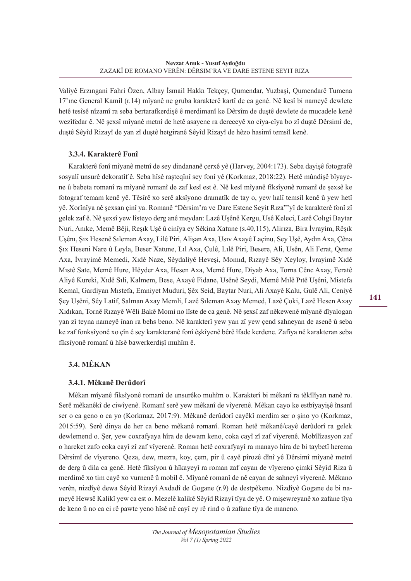Valiyê Erzıngani Fahri Özen, Albay İsmail Hakkı Tekçey, Qumendar, Yuzbaşi, Qumendarê Tumena 17'ıne General Kamil (r.14) mîyanê ne gruba karakterê kartî de ca genê. Nê kesî bi nameyê dewlete hetê tesîsê nîzamî ra seba bertarafkerdişê ê merdimanî ke Dêrsîm de duştê dewlete de mucadele kenê wezîfedar ê. Nê şexsî mîyanê metnî de hetê asayene ra dereceyê xo cîya-cîya bo zî duştê Dêrsimî de, duştê Sêyîd Rizayî de yan zî duştê hetgiranê Sêyîd Rizayî de hêzo hasimî temsîl kenê.

## **3.3.4. Karakterê Fonî**

Karakterê fonî mîyanê metnî de sey dindananê çerxê yê (Harvey, 2004:173). Seba dayişê fotografê sosyalî unsurê dekoratîf ê. Seba hîsê raşteqînî sey fonî yê (Korkmaz, 2018:22). Hetê mûndişê bîyayene û babeta romanî ra mîyanê romanî de zaf kesî est ê. Nê kesî mîyanê fîksîyonê romanî de şexsê ke fotograf temam kenê yê. Têsîrê xo serê aksîyono dramatîk de tay o, yew halî temsîl kenê û yew hetî yê. Xorînîya nê şexsan çinî ya. Romanê "Dêrsim'ra ve Dare Estene Seyit Rıza"'yî de karakterê fonî zî gelek zaf ê. Nê şexsî yew lîsteyo derg anê meydan: Lazê Uşênê Kergu, Usê Keleci, Lazê Colıgi Baytar Nuri, Anıke, Memê Bêji, Reşık Uşê û cinîya ey Sêkina Xatune (s.40,115), Alirıza, Bira İvrayim, Rêşık Uşênı, Şıx Hesenê Sıleman Axay, Lilê Piri, Alişan Axa, Usıv Axayê Laçinu, Sey Uşê, Aydın Axa, Çêna Şıx Heseni Nare û Leyla, Beser Xatune, Lıl Axa, Çulê, Lılê Piri, Besere, Ali, Usên, Ali Ferat, Qeme Axa, İvrayimê Memedi, Xıdê Naze, Sêydaliyê Heveşi, Momıd, Rızayê Sêy Xeyloy, İvrayimê Xıdê Mıstê Sate, Memê Hure, Hêyder Axa, Hesen Axa, Memê Hure, Diyab Axa, Torna Cênc Axay, Feratê Aliyê Kureki, Xıdê Sıli, Kalmem, Bese, Axayê Fidane, Usênê Seydi, Memê Mılê Pıtê Uşêni, Mistefa Kemal, Gardiyan Mıstefa, Emniyet Muduri, Şêx Seid, Baytar Nuri, Ali Axayê Kalu, Gulê Ali, Ceniyê Şey Uşêni, Sêy Latif, Salman Axay Memli, Lazê Sıleman Axay Memed, Lazê Çoki, Lazê Hesen Axay Xıdıkan, Tornê Rızayê Wêli Bakê Momi no lîste de ca genê. Nê şexsî zaf nêkewenê mîyanê dîyalogan yan zî teyna nameyê înan ra behs beno. Nê karakterî yew yan zî yew çend sahneyan de asenê û seba ke zaf fonksîyonê xo çîn ê sey karakteranê fonî êşkîyenê bêrê îfade kerdene. Zafîya nê karakteran seba fîksîyonê romanî û hîsê bawerkerdişî muhîm ê.

# **3.4. MÊKAN**

#### **3.4.1. Mêkanê Derûdorî**

Mêkan mîyanê fiksîyonê romanî de unsurêko muhîm o. Karakterî bi mêkanî ra têkîlîyan nanê ro. Serê mêkanêkî de ciwîyenê. Romanî serê yew mêkanî de vîyerenê. Mêkan cayo ke estbîyayişê însanî ser o ca geno o ca yo (Korkmaz, 2017:9). Mêkanê derûdorî cayêkî merdim ser o şino yo (Korkmaz, 2015:59). Serê dinya de her ca beno mêkanê romanî. Roman hetê mêkanê/cayê derûdorî ra gelek dewlemend o. Şer, yew coxrafyaya hîra de dewam keno, coka cayî zî zaf vîyerenê. Mobîlîzasyon zaf o hareket zafo coka cayî zî zaf vîyerenê. Roman hetê coxrafyayî ra manayo hîra de bi taybetî herema Dêrsimî de vîyereno. Qeza, dew, mezra, koy, çem, pir û cayê pîrozê dînî yê Dêrsimî mîyanê metnî de derg û dila ca genê. Hetê fîksîyon û hîkayeyî ra roman zaf cayan de vîyereno çimkî Sêyîd Riza û merdimê xo tim cayê xo vurnenê û mobîl ê. Mîyanê romanî de nê cayan de sahneyî vîyerenê. Mêkano verên, nizdîyê dewa Sêyîd Rizayî Axdadî de Gogane (r.9) de destpêkeno. Nizdîyê Gogane de bi nameyê Hewsê Kalikî yew ca est o. Mezelê kalikê Sêyîd Rizayî tîya de yê. O mişewreyanê xo zafane tîya de keno û no ca ci rê pawte yeno hîsê nê cayî ey rê rind o û zafane tîya de maneno.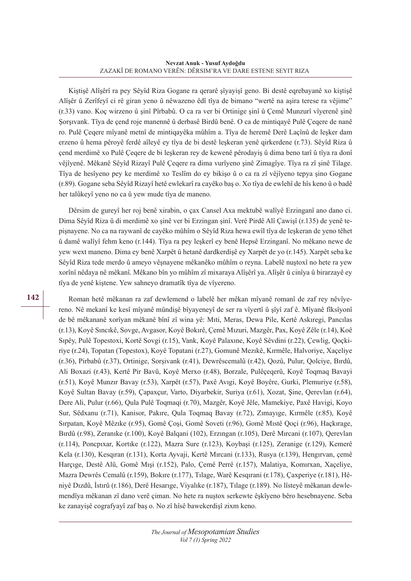Kiştişê Alîşêrî ra pey Sêyîd Riza Gogane ra qerarê şîyayişî geno. Bi destê eqrebayanê xo kiştişê Alîşêr û Zerîfeyî ci rê giran yeno û nêwazeno êdî tîya de bimano "wertê na aşira terese ra vêjime" (r.33) vano. Koç wirzeno û şinî Pîrbabû. O ca ra ver bi Ortinige şinî û Çemê Munzurî vîyerenê şinê Şorşıvank. Tîya de çend roje manennê û derbasê Birdû benê. O ca de mintiqayê Pulê Çeqere de nanê ro. Pulê Çeqere mîyanê metnî de mintiqayêka mûhîm a. Tîya de heremê Derê Laçînû de leşker dam erzeno û hema pêroyê ferdê aîleyê ey tîya de bi destê leşkeran yenê qirkerdene (r.73). Sêyîd Riza û çend merdimê xo Pulê Çeqere de bi leşkeran rey de kewenê pêrodayiş û dima beno tarî û tîya ra donî vêjîyenê. Mêkanê Sêyîd Rizayî Pulê Çeqere ra dima vurîyeno şinê Zimagîye. Tîya ra zî şinê Tilage. Tîya de hesîyeno pey ke merdimê xo Teslîm do ey bikişo û o ca ra zî vêjîyeno tepya şino Gogane (r.89). Gogane seba Sêyîd Rizayî hetê ewlekarî ra cayêko baş o. Xo tîya de ewlehî de hîs keno û o badê her talûkeyî yeno no ca û yew mude tîya de maneno.

Dêrsim de gureyî her roj benê xirabin, o çax Cansel Axa mektubê walîyê Erzinganî ano dano ci. Dima Sêyîd Riza û di merdimê xo şinê ver bi Erzingan şinî. Verê Pirdê Alî Çawişî (r.135) de yenê tepişnayene. No ca na raywanî de cayêko mûhîm o Sêyîd Riza hewa ewîl tîya de leşkeran de yeno têhet û damê walîyî fehm keno (r.144). Tîya ra pey leşkerî ey benê Hepsê Erzinganî. No mêkano newe de yew wext maneno. Dima ey benê Xarpêt û hetanê dardkerdişê ey Xarpêt de yo (r.145). Xarpêt seba ke Sêyîd Riza tede merdo û ameyo vêşnayene mêkanêko mûhîm o reyna. Labelê nuştoxî no hete ra yew xorînî nêdaya nê mêkanî. Mêkano bîn yo mûhîm zî mixaraya Alîşêrî ya. Alîşêr û cinîya û birarzayê ey tîya de yenê kiştene. Yew sahneyo dramatîk tîya de vîyereno.

Roman hetê mêkanan ra zaf dewlemend o labelê her mêkan mîyanê romanî de zaf rey nêvîyereno. Nê mekanî ke kesî mîyanê mûndişê bîyayeneyî de ser ra vîyertî û şîyî zaf ê. Mîyanê fîksîyonî de bê mêkananê xorîyan mêkanê bînî zî wina yê: Mıti, Meras, Dewa Pile, Kertê Askıregi, Pancılas (r.13), Koyê Sıncıkê, Sovge, Avgasor, Koyê Bokırê, Çemê Mızuri, Mazgêr, Pax, Koyê Zêle (r.14), Koê Sıpêy, Pulê Topestoxi, Kortê Sovgi (r.15), Vank, Koyê Palaxıne, Koyê Sêvdini (r.22), Çewlig, Qoçkiriye (r.24), Topatan (Topestox), Koyê Topatani (r.27), Gomunê Mezıkê, Kırmêle, Halvoriye, Xaçeliye (r.36), Pirbabû (r.37), Ortinige, Sorşivank (r.41), Dewrêscemalû (r.42), Qozû, Pulur, Qolciye, Bırdû, Ali Boxazi (r.43), Kertê Pir Bavû, Koyê Merxo (r.48), Borzale, Pulêçeqerû, Koyê Toqmaq Bavayi (r.51), Koyê Munzır Bavay (r.53), Xarpêt (r.57), Paxê Avıgi, Koyê Boyêre, Gurki, Plemuriye (r.58), Koyê Sultan Bavay (r.59), Çapaxçur, Varto, Diyarbekir, Suriya (r.61), Xozat, Şine, Qerevlan (r.64), Dere Ali, Pulur (r.66), Qula Pulê Toqmaqi (r.70), Mazgêr, Koyê Jêle, Mamekiye, Paxê Havigi, Koyo Sur, Sêdxanu (r.71), Kanisor, Pakıre, Qula Toqmaq Bavay (r.72), Zımayıge, Kırmêle (r.85), Koyê Sırpatan, Koyê Mêzıke (r.95), Gomê Çoşi, Gomê Soveti (r.96), Gomê Mıstê Qoçi (r.96), Haçkırage, Bırdû (r.98), Zeranıke (r.100), Koyê Balqani (102), Erzıngan (r.105), Derê Mırcani (r.107), Qerevlan (r.114), Poncpıxar, Kortıke (r.122), Mazra Sure (r.123), Koybaşi (r.125), Zeranige (r.129), Kemerê Kela (r.130), Kesqıran (r.131), Korta Ayvaji, Kertê Mırcani (r.133), Rusya (r.139), Hengırvan, çemê Harçıge, Destê Alû, Gomê Mışi (r.152), Palo, Çemê Perrê (r.157), Malatiya, Komırxan, Xaçeliye, Mazra Dewrês Cemalû (r.159), Bokıre (r.177), Tılage, Warê Kesqırani (r.178), Çaxperiye (r.181), Hêniyê Dızdû, İstırû (r.186), Derê Hesarıge, Viyalıke (r.187), Tılage (r.189). No lîsteyê mêkanan dewlemendîya mêkanan zî dano verê çiman. No hete ra nuştox serkewte êşkîyeno bêro hesebnayene. Seba ke zanayişê cografyayî zaf baş o. No zî hîsê bawekerdişî zixm keno.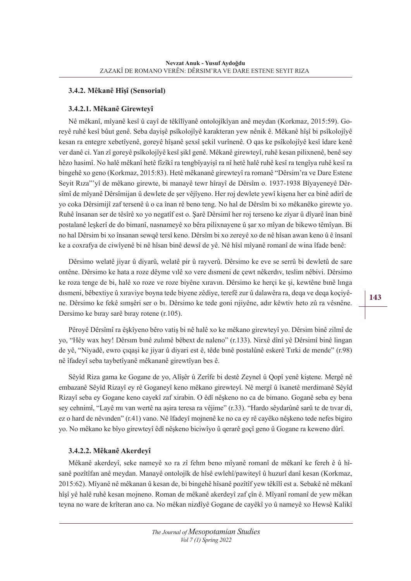## **3.4.2. Mêkanê Hîşî (Sensorial)**

#### **3.4.2.1. Mêkanê Girewteyî**

Nê mêkanî, mîyanê kesî û cayî de têkîlîyanê ontolojîkîyan anê meydan (Korkmaz, 2015:59). Goreyê ruhê kesî bûut genê. Seba dayişê psîkolojîyê karakteran yew nênik ê. Mêkanê hîşî bi psîkolojîyê kesan ra entegre xebetîyenê, goreyê hîşanê şexsî şekil vurînenê. O qas ke psîkolojîyê kesî îdare kenê ver danê ci. Yan zî goreyê psîkolojîyê kesî şikl genê. Mêkanê girewteyî, ruhê kesan pilixnenê, benê sey hêzo hasimî. No halê mêkanî hetê fîzîkî ra tengbîyayişî ra nî hetê halê ruhê kesî ra tengîya ruhê kesî ra bingehê xo geno (Korkmaz, 2015:83). Hetê mêkananê girewteyî ra romanê "Dêrsim'ra ve Dare Estene Seyit Rıza"'yî de mêkano girewte, bi manayê tewr hîrayî de Dêrsîm o. 1937-1938 Bîyayeneyê Dêrsîmî de mîyanê Dêrsîmijan û dewlete de şer vêjîyeno. Her roj dewlete yewî kişena her ca binê adirî de yo coka Dêrsimijî zaf tersenê û o ca înan rê beno teng. No hal de Dêrsîm bi xo mêkanêko girewte yo. Ruhê însanan ser de têsîrê xo yo negatîf est o. Şarê Dêrsimî her roj terseno ke zîyar û dîyarê înan binê postalanê leşkerî de do bimanî, nasnameyê xo bêra pilixnayene û şar xo mîyan de bikewo têmîyan. Bi no hal Dêrsim bi xo însanan sewqê tersî keno. Dêrsîm bi xo zereyê xo de nê hîsan awan keno û ê însanî ke a coxrafya de ciwîyenê bi nê hîsan binê dewsî de yê. Nê hîsî mîyanê romanî de wina îfade benê:

Dêrsimo welatê jiyar û diyarû, welatê pir û rayverû. Dêrsimo ke eve se serrû bi dewletû de sare ontêne. Dêrsimo ke hata a roze dêyme vılê xo vere dısmeni de çewt nêkerdıv, teslim nêbivi. Dêrsimo ke roza tenge de bi, halê xo roze ve roze biyêne xıravın. Dêrsimo ke herçi ke şi, kewtêne bınê lınga dısmeni, bêbextiye û xıraviye boyna tede biyene zêdiye, terefê zur û dalawêra ra, deqa ve deqa koçiyêne. Dêrsimo ke fekê sımşêri ser o bı. Dêrsimo ke tede goni rıjiyêne, adır kêwtiv heto zû ra vêsnêne. Dersimo ke bıray sarê bıray rotene (r.105).

Pêroyê Dêrsîmî ra êşkîyeno bêro vatiş bi nê halê xo ke mêkano girewteyî yo. Dêrsim binê zilmî de yo, "Hêy wax hey! Dêrsım bınê zulımê bêbext de naleno" (r.133). Nirxê dînî yê Dêrsimî binê lingan de yê, "Niyadê, ewro çıqaşi ke jiyar û diyari est ê, têde bınê postalûnê eskerê Tırki de mende" (r.98) nê îfadeyî seba taybetîyanê mêkananê girewtîyan bes ê.

Sêyîd Riza gama ke Gogane de yo, Alîşêr û Zerîfe bi destê Zeynel û Qopî yenê kiştene. Mergê nê embazanê Sêyîd Rizayî ey rê Goganeyî keno mêkano girewteyî. Nê mergî û îxanetê merdimanê Sêyîd Rizayî seba ey Gogane keno cayekî zaf xirabin. O êdî nêşkeno no ca de bimano. Goganê seba ey bena sey cehnimî, "Layê mı van wertê na aşira teresa ra vêjime" (r.33). "Hardo sêydarûnê sarû te de tıvar di, ez o hard de nêvınden" (r.41) vano. Nê îfadeyî mojnenê ke no ca ey rê cayêko nêşkeno tede nefes bigiro yo. No mêkano ke bîyo girewteyî êdî nêşkeno biciwîyo û qerarê goçî geno û Gogane ra keweno dûrî.

#### **3.4.2.2. Mêkanê Akerdeyî**

Mêkanê akerdeyî, seke nameyê xo ra zî fehm beno mîyanê romanî de mêkanî ke fereh ê û hîsanê pozîtîfan anê meydan. Manayê ontolojîk de hîsê ewlehî/pawiteyî û huzurî danî kesan (Korkmaz, 2015:62). Mîyanê nê mêkanan û kesan de, bi bingehê hîsanê pozîtîf yew têkîlî est a. Sebakê nê mêkanî hîşî yê halê ruhê kesan mojneno. Roman de mêkanê akerdeyî zaf çîn ê. Mîyanî romanî de yew mêkan teyna no ware de krîteran ano ca. No mêkan nizdîyê Gogane de cayêkî yo û nameyê xo Hewsê Kalikî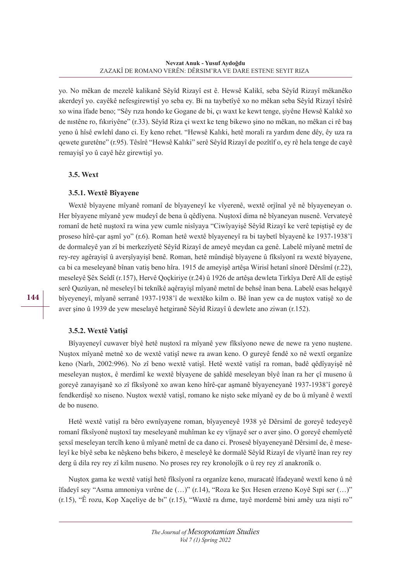yo. No mêkan de mezelê kalikanê Sêyîd Rizayî est ê. Hewsê Kalikî, seba Sêyîd Rizayî mêkanêko akerdeyî yo. cayêkê nefesgirewtişî yo seba ey. Bi na taybetîyê xo no mêkan seba Sêyîd Rizayî têsîrê xo wina îfade beno; "Sêy rıza hondo ke Gogane de bi, çı waxt ke kewt tenge, şiyêne Hewsê Kalıkê xo de nıstêne ro, fıkıriyêne" (r.33). Sêyîd Riza çi wext ke teng bikewo şino no mêkan, no mêkan ci rê baş yeno û hîsê ewlehî dano ci. Ey keno rehet. "Hewsê Kalıki, hetê morali ra yardım dene dêy, êy uza ra qewete guretêne" (r.95). Têsîrê "Hewsê Kalıki" serê Sêyîd Rizayî de pozîtîf o, ey rê hela tenge de cayê remayişî yo û cayê hêz girewtişî yo.

## **3.5. Wext**

## **3.5.1. Wextê Bîyayene**

Wextê bîyayene mîyanê romanî de bîyayeneyî ke vîyerenê, wextê orjînal yê nê bîyayeneyan o. Her bîyayene mîyanê yew mudeyî de bena û qêdîyena. Nuştoxî dima nê bîyaneyan nusenê. Vervateyê romanî de hetê nuştoxî ra wina yew cumle nisîyaya "Ciwîyayişê Sêyîd Rizayî ke verê tepiştişê ey de proseso hîrê-çar aşmî yo" (r.6). Roman hetê wextê bîyayeneyî ra bi taybetî bîyayenê ke 1937-1938'î de dormaleyê yan zî bi merkezîyetê Sêyîd Rizayî de ameyê meydan ca genê. Labelê mîyanê metnî de rey-rey agêrayişî û averşîyayişî benê. Roman, hetê mûndişê bîyayene û fîksîyonî ra wextê bîyayene, ca bi ca meseleyanê bînan vatiş beno hîra. 1915 de ameyişê artêşa Wirisî hetanî sînorê Dêrsîmî (r.22), meseleyê Şêx Seîdî (r.157), Hervê Qoçkiriye (r.24) û 1926 de artêşa dewleta Tirkîya Derê Alî de eştişê serê Quzûyan, nê meseleyî bi teknîkê aqêrayişî mîyanê metnî de behsê înan bena. Labelê esas helqayê bîyeyeneyî, mîyanê serranê 1937-1938'î de wextêko kilm o. Bê înan yew ca de nuştox vatişê xo de aver şino û 1939 de yew meselayê hetgiranê Sêyîd Rizayî û dewlete ano ziwan (r.152).

## **3.5.2. Wextê Vatişî**

Bîyayeneyî cuwaver bîyê hetê nuştoxî ra mîyanê yew fîksîyono newe de newe ra yeno nuştene. Nuştox mîyanê metnê xo de wextê vatişî newe ra awan keno. O gureyê fendê xo nê wextî organîze keno (Narlı, 2002:996). No zî beno wextê vatişî. Hetê wextê vatişî ra roman, badê qêdîyayişê nê meseleyan nuştox, ê merdimî ke wextê bîyayene de şahîdê meseleyan bîyê înan ra her çî museno û goreyê zanayişanê xo zî fîksîyonê xo awan keno hîrê-çar aşmanê bîyayeneyanê 1937-1938'î goreyê fendkerdişê xo niseno. Nuştox wextê vatişî, romano ke nişto seke mîyanê ey de bo û mîyanê ê wextî de bo nuseno.

Hetê wextê vatişî ra bêro ewnîyayene roman, bîyayeneyê 1938 yê Dêrsimî de goreyê tedeyeyê romanî fîksîyonê nuştoxî tay meseleyanê muhîman ke ey vîjnayê ser o aver şino. O goreyê ehemîyetê şexsî meseleyan tercîh keno û mîyanê metnî de ca dano ci. Prosesê bîyayeneyanê Dêrsimî de, ê meseleyî ke bîyê seba ke nêşkeno behs bikero, ê meseleyê ke dormalê Sêyîd Rizayî de vîyartê înan rey rey derg û dila rey rey zî kilm nuseno. No proses rey rey kronolojîk o û rey rey zî anakronîk o.

Nuştox gama ke wextê vatişî hetê fîksîyonî ra organîze keno, muracatê îfadeyanê wextî keno û nê îfadeyî sey "Asma amnoniya vırêne de (…)" (r.14), "Roza ke Şıx Hesen erzeno Koyê Sıpi ser (…)" (r.15), "Ê rozu, Kop Xaçeliye de bı" (r.15), "Waxtê ra dıme, tayê mordemê bini amêy uza nişti ro"

**144**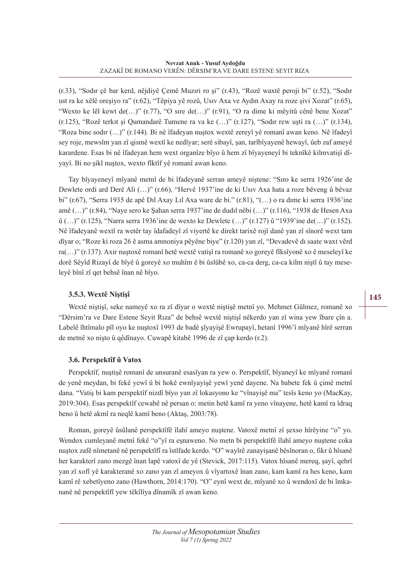(r.33), "Sodır çê bar kerd, nêjdiyê Çemê Muzıri ro şi" (r.43), "Rozê waxtê peroji bi" (r.52), "Sodır ust ra ke xêlê oreşiyo ra" (r.62), "Têpiya yê rozû, Usıv Axa ve Aydın Axay ra roze şivi Xozat" (r.65), "Wexto ke lêl kewt de(…)" (r.77), "O sıre de(…)" (r.91), "O ra dime ki mêyitû cênê bene Xozat" (r.125), "Rozê terkıt şi Qumandarê Tumene ra va ke (…)" (r.127), "Sodır rew uşti ra (…)" (r.134), "Roza bine sodır (…)" (r.144). Bi nê îfadeyan nuştox wextê zereyî yê romanî awan keno. Nê îfadeyî sey roje, mewsîm yan zî qismê wextî ke nedîyar; serê sibayî, şan, tarîbîyayenê hewayî, ûeb zaf ameyê karardene. Esas bi nê îfadeyan hem wext organîze bîyo û hem zî bîyayeneyî bi teknîkê kilmvatişî dîyayî. Bi no şikl nuştox, wexto fîktîf yê romanî awan keno.

Tay bîyayeneyî mîyanê metnî de bi îfadeyanê serran ameyê niştene: "Sıro ke serra 1926'ine de Dewlete ordi ard Derê Ali (…)" (r.66), "Hervê 1937'ine de ki Usıv Axa hata a roze bêveng û bêvaz bi" (r.67), "Serra 1935 de apê Dıl Axay Lıl Axa ware de bi." (r.81), "(…) o ra dıme ki serra 1936'ine amê (…)" (r.84), "Naye sero ke Şahan serra 1937'ine de dudıl nêbi (…)" (r.116), "1938 de Hesen Axa û (…)" (r.125), "Narra serra 1936'ine de wexto ke Dewlete (…)" (r.127) û "1939'ine de(…)" (r.152). Nê îfadeyanê wextî ra wetêr tay îdafadeyî zî viyertê ke direkt tarixê rojî danê yan zî sînorê wext tam dîyar o; "Roze ki roza 26 ê asma amnoniya pêyêne biye" (r.120) yan zî, "Devadevê dı saate waxt vêrd ra(…)" (r.137). Axir nuştoxê romanî hetê wextê vatişî ra romanê xo goreyê fîksîyonê xo ê meseleyî ke dorê Sêyîd Rizayî de bîyê û goreyê xo muhîm ê bi ûslûbê xo, ca-ca derg, ca-ca kilm niştî û tay meseleyê bînî zî qet behsê înan nê bîyo.

# **3.5.3. Wextê Niştişî**

Wextê niştişî, seke nameyê xo ra zî dîyar o wextê niştişê metnî yo. Mehmet Gülmez, romanê xo "Dêrsim'ra ve Dare Estene Seyit Rıza" de behsê wextê niştişî nêkerdo yan zî wina yew îbare çîn a. Labelê îhtîmalo pîl oyo ke nuştoxî 1993 de badê şîyayişê Ewrupayî, hetanî 1996'î mîyanê hîrê serran de metnê xo nişto û qêdînayo. Cuwapê kitabê 1996 de zî çap kerdo (r.2).

## **3.6. Perspektîf û Vatox**

Perspektîf, nuştişê romanî de unsuranê esasîyan ra yew o. Perspektîf, bîyaneyî ke mîyanê romanî de yenê meydan, bi fekê yewî û bi hokê ewnîyayişê yewî yenê dayene. Na babete fek û çimê metnî dana. "Vatiş bi kam perspektîf nizdî bîyo yan zî lokasyono ke "vînayişê ma" tesîs keno yo (MacKay, 2019:304). Esas perspektîf cewabê nê persan o: metin hetê kamî ra yeno vînayene, hetê kamî ra îdraq beno û hetê akmî ra neqlê kamî beno (Aktaş, 2003:78).

Roman, goreyê ûsûlanê perspektîfê îlahî ameyo nuştene. Vatoxê metnî zî şexso hîrêyine "o" yo. Wendox cumleyanê metnî fekê "o"yî ra eşnaweno. No metn bi perspektîfê îlahî ameyo nuştene coka nuştox zafê nîmetanê nê perspektîfî ra îstîfade kerdo. "O" wayîrê zanayişanê bêsînoran o, fikr û hîsanê her karakterî zano mezgê înan lapê vatoxî de yê (Stevick, 2017:115). Vatox hîsanê mereq, şayî, qehrî yan zî xofî yê karakteranê xo zano yan zî ameyox û vîyartoxê înan zano, kam kamî ra hes keno, kam kamî rê xebetîyeno zano (Hawthorn, 2014:170). "O" eynî wext de, mîyanê xo û wendoxî de bi îmkananê nê perspektîfî yew têkîlîya dînamîk zî awan keno.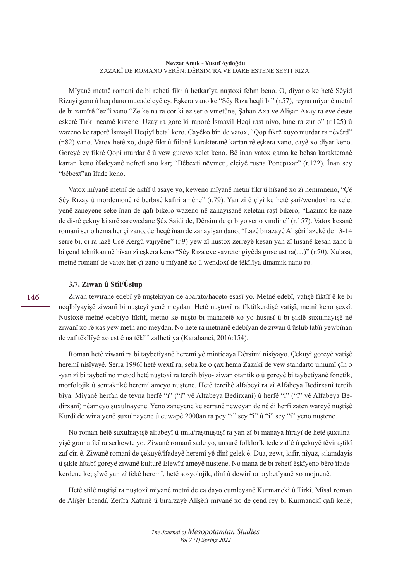Mîyanê metnê romanî de bi rehetî fikr û hetkarîya nuştoxî fehm beno. O, dîyar o ke hetê Sêyîd Rizayî geno û heq dano mucadeleyê ey. Eşkera vano ke "Sêy Rıza heqli bi" (r.57), reyna mîyanê metnî de bi zamîrê "ez"î vano "Ze ke na ra cor ki ez ser o vınetûne, Şahan Axa ve Alişan Axay ra eve deste eskerê Tırki neamê kıstene. Uzay ra gore ki raporê İsmayil Heqi rast niyo, bıne ra zur o" (r.125) û wazeno ke raporê İsmayil Heqiyî betal kero. Cayêko bîn de vatox, "Qop fıkrê xuyo murdar ra nêvêrd" (r.82) vano. Vatox hetê xo, duştê fikr û fîilanê karakteranê kartan rê eşkera vano, cayê xo dîyar keno. Goreyê ey fikrê Qopî murdar ê û yew gureyo xelet keno. Bê înan vatox gama ke behsa karakteranê kartan keno îfadeyanê nefretî ano kar; "Bêbexti nêvıneti, elçiyê rusna Poncpıxar" (r.122). Înan sey "bêbext"an îfade keno.

Vatox mîyanê metnî de aktîf û asaye yo, keweno mîyanê metnî fikr û hîsanê xo zî nênimneno, "Çê Sêy Rızay û mordemonê rê berbısê kafıri amêne" (r.79). Yan zî ê çîyî ke hetê şarî/wendoxî ra xelet yenê zaneyene seke înan de qalî bikero wazeno nê zanayişanê xeletan raşt bikero; "Lazımo ke naze de di-rê çekuy ki sırê sarewedane Şêx Saidi de, Dêrsim de çı biyo ser o vındine" (r.157). Vatox kesanê romanî ser o hema her çî zano, derheqê înan de zanayişan dano; "Lazê bırazayê Alişêri lazekê de 13-14 serre bi, cı ra lazê Usê Kergû vajiyêne" (r.9) yew zî nuştox zerreyê kesan yan zî hîsanê kesan zano û bi çend teknîkan nê hîsan zî eşkera keno "Sêy Rıza eve savretengiyêda gırse ust ra(…)" (r.70). Xulasa, metnê romanî de vatox her çî zano û mîyanê xo û wendoxî de têkîlîya dînamik nano ro.

# **3.7. Ziwan û Stîl/Ûslup**

Ziwan tewiranê edebî yê nuştekîyan de aparato/haceto esasî yo. Metnê edebî, vatişê fîktîf ê ke bi neqlbîyayişê ziwanî bi nuşteyî yenê meydan. Hetê nuştoxî ra fîktîfkerdişê vatişî, metnî keno şexsî. Nuştoxê metnê edebîyo fîktîf, metno ke nuşto bi maharetê xo yo hususî û bi şiklê şuxulnayişê nê ziwanî xo rê xas yew metn ano meydan. No hete ra metnanê edebîyan de ziwan û ûslub tabîî yewbînan de zaf têkîlîyê xo est ê na têkîlî zafhetî ya (Karahanci, 2016:154).

Roman hetê ziwanî ra bi taybetîyanê heremî yê mintiqaya Dêrsimî nisîyayo. Çekuyî goreyê vatişê heremî nisîyayê. Serra 1996î hetê wextî ra, seba ke o çax hema Zazakî de yew standarto umumî çîn o -yan zî bi taybetî no metod hetê nuştoxî ra tercîh bîyo- ziwan otantîk o û goreyê bi taybetîyanê fonetîk, morfolojîk û sentaktîkê heremî ameyo nuştene. Hetê tercîhê alfabeyî ra zî Alfabeya Bedirxanî tercîh bîya. Mîyanê herfan de teyna herfê "ı" ("i" yê Alfabeya Bedirxanî) û herfê "i" ("î" yê Alfabeya Bedirxanî) nêameyo şuxulnayene. Yeno zaneyene ke serranê neweyan de nê di herfî zaten wareyê nuştişê Kurdî de wina yenê şuxulnayene û cuwapê 2000an ra pey "ı" sey "i" û "i" sey "î" yeno nuştene.

No roman hetê şuxulnayişê alfabeyî û îmla/raştnuştişî ra yan zî bi manaya hîrayî de hetê şuxulnayişê gramatîkî ra serkewte yo. Ziwanê romanî sade yo, unsurê folklorîk tede zaf ê û çekuyê têviraştikî zaf çîn ê. Ziwanê romanî de çekuyê/îfadeyê heremî yê dînî gelek ê. Dua, zewt, kifir, nîyaz, silamdayiş û şikle hîtabî goreyê ziwanê kulturê Elewîtî ameyê nuştene. No mana de bi rehetî êşkîyeno bêro îfadekerdene ke; şîwê yan zî fekê heremî, hetê sosyolojîk, dînî û dewirî ra taybetîyanê xo mojnenê.

Hetê stîlê nuştişî ra nuştoxî mîyanê metnî de ca dayo cumleyanê Kurmanckî û Tirkî. Mîsal roman de Alîşêr Efendî, Zerîfa Xatunê û birarzayê Alîşêrî mîyanê xo de çend rey bi Kurmanckî qalî kenê;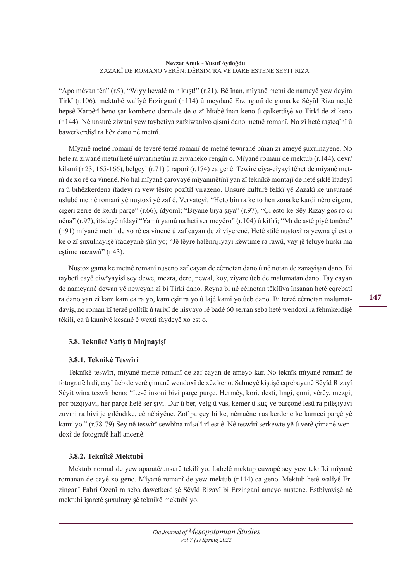"Apo mêvan tên" (r.9), "Wıyy hevalê mın kuşt!" (r.21). Bê înan, mîyanê metnî de nameyê yew deyîra Tirkî (r.106), mektubê walîyê Erzinganî (r.114) û meydanê Erzinganî de gama ke Sêyîd Riza neqlê hepsê Xarpêtî beno şar kombeno dormale de o zî hîtabê înan keno û qalkerdişê xo Tirkî de zî keno (r.144). Nê unsurê ziwanî yew taybetîya zafziwanîyo qismî dano metnê romanî. No zî hetê raşteqînî û bawerkerdişî ra hêz dano nê metnî.

Mîyanê metnê romanî de teverê terzê romanî de metnê tewiranê bînan zî ameyê şuxulnayene. No hete ra ziwanê metnî hetê mîyanmetînî ra ziwanêko rengîn o. Mîyanê romanî de mektub (r.144), deyr/ kilamî (r.23, 165-166), belgeyî (r.71) û raporî (r.174) ca genê. Tewirê cîya-cîyayî têhet de mîyanê metnî de xo rê ca vînenê. No hal mîyanê çarovayê mîyanmêtînî yan zî teknîkê montajî de hetê şiklê îfadeyî ra û bihêzkerdena îfadeyî ra yew têsîro pozîtîf virazeno. Unsurê kulturê fekkî yê Zazakî ke unsuranê uslubê metnê romanî yê nuştoxî yê zaf ê. Vervateyî; "Heto bin ra ke to hen zona ke kardi nêro cigeru, cigeri zerre de kerdi parçe" (r.66), îdyomî; "Biyane biya şiya" (r.97), "Çı esto ke Sêy Rızay gos ro cı nêna" (r.97), îfadeyê nîdayî "Yamû yamû na heti ser meyêro" (r.104) û kifirî; "Mı de astê piyê tonêne" (r.91) mîyanê metnî de xo rê ca vînenê û zaf cayan de zî vîyerenê. Hetê stîlê nuştoxî ra yewna çî est o ke o zî şuxulnayişê îfadeyanê şîîrî yo; "Jê têyrê halênrıjiyayi kêwtıme ra rawû, vay jê teluyê huski ma eştime nazawû" (r.43).

Nuştox gama ke metnê romanî nuseno zaf cayan de cêrnotan dano û nê notan de zanayişan dano. Bi taybetî cayê ciwîyayişî sey dewe, mezra, dere, newal, koy, zîyare ûeb de malumatan dano. Tay cayan de nameyanê dewan yê neweyan zî bi Tirkî dano. Reyna bi nê cêrnotan têkîlîya însanan hetê eqrebatî ra dano yan zî kam kam ca ra yo, kam eşîr ra yo û lajê kamî yo ûeb dano. Bi terzê cêrnotan malumatdayiş, no roman kî terzê polîtîk û tarixî de nisyayo rê badê 60 serran seba hetê wendoxî ra fehmkerdişê têkîlî, ca û kamîyê kesanê ê wextî faydeyê xo est o.

# **3.8. Teknîkê Vatiş û Mojnayişî**

#### **3.8.1. Teknîkê Teswîrî**

Teknîkê teswîrî, mîyanê metnê romanî de zaf cayan de ameyo kar. No teknîk mîyanê romanî de fotografê halî, cayî ûeb de verê çimanê wendoxî de xêz keno. Sahneyê kiştişê eqrebayanê Sêyîd Rizayî Sêyit wina teswîr beno; "Lesê insoni bivi parçe purçe. Hermêy, kori, desti, lıngi, çımi, vêrêy, mezgi, por pızqiyavi, her parçe hetê ser şivi. Dar û ber, velg û vas, kemer û kuç ve parçonê lesû ra pılêşiyavi zuvıni ra bivi je gılêndıke, cê nêbiyêne. Zof parçey bi ke, nêmaêne nas kerdene ke kameci parçê yê kami yo." (r.78-79) Sey nê teswîrî sewbîna mîsalî zî est ê. Nê teswîrî serkewte yê û verê çimanê wendoxî de fotografê halî ancenê.

## **3.8.2. Teknîkê Mektubî**

Mektub normal de yew aparatê/unsurê tekîlî yo. Labelê mektup cuwapê sey yew teknîkî mîyanê romanan de cayê xo geno. Mîyanê romanî de yew mektub (r.114) ca geno. Mektub hetê walîyê Erzinganî Fahri Özenî ra seba dawetkerdişê Sêyîd Rizayî bi Erzinganî ameyo nuştene. Estbîyayişê nê mektubî îşaretê şuxulnayişê teknîkê mektubî yo.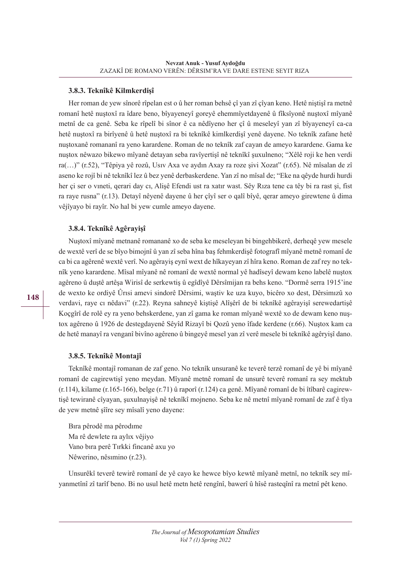#### **3.8.3. Teknîkê Kilmkerdişî**

Her roman de yew sînorê rîpelan est o û her roman behsê çî yan zî çîyan keno. Hetê niştişî ra metnê romanî hetê nuştoxî ra îdare beno, bîyayeneyî goreyê ehemmîyetdayenê û fîksîyonê nuştoxî mîyanê metnî de ca genê. Seba ke rîpelî bi sînor ê ca nêdîyeno her çî û meseleyî yan zî bîyayeneyî ca-ca hetê nuştoxî ra birîyenê û hetê nuştoxî ra bi teknîkê kimlkerdişî yenê dayene. No teknîk zafane hetê nuştoxanê romananî ra yeno karardene. Roman de no teknîk zaf cayan de ameyo karardene. Gama ke nuştox nêwazo bikewo mîyanê detayan seba ravîyertişî nê teknîkî şuxulneno; "Xêlê roji ke hen verdi ra(…)" (r.52), "Têpiya yê rozû, Usıv Axa ve aydın Axay ra roze şivi Xozat" (r.65). Nê mîsalan de zî aseno ke rojî bi nê teknîkî lez û bez yenê derbaskerdene. Yan zî no mîsal de; "Eke na qêyde hurdi hurdi her çi ser o vıneti, qerari day cı, Alişê Efendi ust ra xatır wast. Sêy Rıza tene ca têy bi ra rast şi, fist ra raye rusna" (r.13). Detayî nêyenê dayene û her çîyî ser o qalî bîyê, qerar ameyo girewtene û dima vêjîyayo bi rayîr. No hal bi yew cumle ameyo dayene.

#### **3.8.4. Teknîkê Agêrayişî**

Nuştoxî mîyanê metnanê romananê xo de seba ke meseleyan bi bingehbikerê, derheqê yew mesele de wextê verî de se bîyo bimojnî û yan zî seba hîna baş fehmkerdişê fotografî mîyanê metnê romanî de ca bi ca agêrenê wextê verî. No agêrayiş eynî wext de hîkayeyan zî hîra keno. Roman de zaf rey no teknîk yeno karardene. Mîsal mîyanê nê romanî de wextê normal yê hadîseyî dewam keno labelê nuştox agêreno û duştê artêşa Wirisî de serkewtiş û egîdîyê Dêrsîmijan ra behs keno. "Dormê serra 1915'ine de wexto ke ordiyê Ûrısi amevi sindorê Dêrsimi, waştiv ke uza kuyo, bicêro xo dest, Dêrsimızû xo verdavi, raye cı nêdavi" (r.22). Reyna sahneyê kiştişê Alîşêrî de bi teknîkê agêrayişî serewedartişê Koçgîrî de rolê ey ra yeno behskerdene, yan zî gama ke roman mîyanê wextê xo de dewam keno nuştox agêreno û 1926 de destegdayenê Sêyîd Rizayî bi Qozû yeno îfade kerdene (r.66). Nuştox kam ca de hetê manayî ra venganî bivîno agêreno û bingeyê mesel yan zî verê mesele bi teknîkê agêryişî dano.

#### **3.8.5. Teknîkê Montajî**

Teknîkê montajî romanan de zaf geno. No teknîk unsuranê ke teverê terzê romanî de yê bi mîyanê romanî de cagirewtişî yeno meydan. Mîyanê metnê romanî de unsurê teverê romanî ra sey mektub (r.114), kilame (r.165-166), belge (r.71) û raporî (r.124) ca genê. Mîyanê romanî de bi îtîbarê cagirewtişê tewiranê cîyayan, şuxulnayişê nê teknîkî mojneno. Seba ke nê metnî mîyanê romanî de zaf ê tîya de yew metnê şîîre sey mîsalî yeno dayene:

Bıra pêrodê ma pêrodıme Ma rê dewlete ra aylıx vêjiyo Vano bıra perê Tırkki fincanê axu yo Nêwerino, nêsımino (r.23).

Unsurêkî teverê tewirê romanî de yê cayo ke hewce bîyo kewtê mîyanê metnî, no teknîk sey mîyanmetînî zî tarîf beno. Bi no usul hetê metn hetê rengînî, bawerî û hîsê rasteqînî ra metnî pêt keno.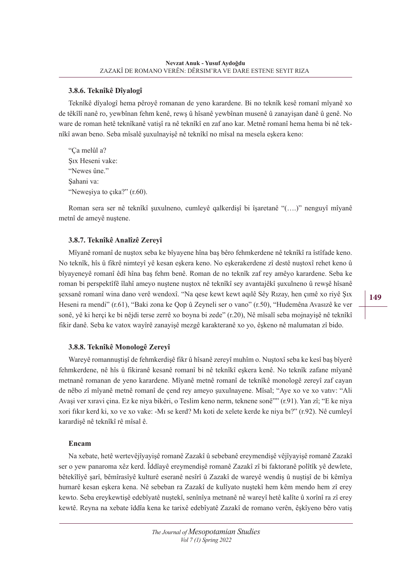#### **3.8.6. Teknîkê Dîyalogî**

Teknîkê dîyalogî hema pêroyê romanan de yeno karardene. Bi no teknîk kesê romanî mîyanê xo de têkîlî nanê ro, yewbînan fehm kenê, rewş û hîsanê yewbînan musenê û zanayişan danê û genê. No ware de roman hetê teknîkanê vatişî ra nê teknîkî en zaf ano kar. Metnê romanî hema hema bi nê teknîkî awan beno. Seba mîsalê şuxulnayişê nê teknîkî no mîsal na mesela eşkera keno:

"Ça melûl a? Şıx Heseni vake: "Newes ûne." Şahani va: "Neweşiya to çıka?" (r.60).

Roman sera ser nê teknîkî şuxulneno, cumleyê qalkerdişî bi îşaretanê "(….)" nenguyî mîyanê metnî de ameyê nuştene.

#### **3.8.7. Teknîkê Analîzê Zereyî**

Mîyanê romanî de nuştox seba ke bîyayene hîna baş bêro fehmkerdene nê teknîkî ra îstîfade keno. No teknîk, hîs û fikrê nimteyî yê kesan eşkera keno. No eşkerakerdene zî destê nuştoxî rehet keno û bîyayeneyê romanî êdî hîna baş fehm benê. Roman de no teknîk zaf rey amêyo karardene. Seba ke roman bi perspektîfê îlahî ameyo nuştene nuştox nê teknîkî sey avantajêkî şuxulneno û rewşê hîsanê şexsanê romanî wina dano verê wendoxî. "Na qese kewt kewt aqılê Sêy Rızay, hen çımê xo riyê Şıx Heseni ra mendi" (r.61), "Baki zona ke Qop û Zeyneli ser o vano" (r.50), "Hudemêna Avasızê ke ver sonê, yê ki herçi ke bi nêjdi terse zerrê xo boyna bi zede" (r.20), Nê mîsalî seba mojnayişê nê teknîkî fikir danê. Seba ke vatox wayîrê zanayişê mezgê karakteranê xo yo, êşkeno nê malumatan zî bido.

#### **3.8.8. Teknîkê Monologê Zereyî**

Wareyê romannuştişî de fehmkerdişê fikr û hîsanê zereyî muhîm o. Nuştoxî seba ke kesî baş bîyerê fehmkerdene, nê hîs û fikiranê kesanê romanî bi nê teknîkî eşkera kenê. No teknîk zafane mîyanê metnanê romanan de yeno karardene. Mîyanê metnê romanî de teknîkê monologê zereyî zaf cayan de nêbo zî mîyanê metnê romanî de çend rey ameyo şuxulnayene. Mîsal; "Aye xo ve xo vatıv: "Ali Avaşi ver xıravi çina. Ez ke niya bikêri, o Teslim keno nerm, teknene sonê"" (r.91). Yan zî; "E ke niya xori fıkır kerd ki, xo ve xo vake: -Mı se kerd? Mı koti de xelete kerde ke niya bı?" (r.92). Nê cumleyî karardişê nê teknîkî rê mîsal ê.

#### **Encam**

Na xebate, hetê wertevêjîyayişê romanê Zazakî û sebebanê ereymendişê vêjîyayişê romanê Zazakî ser o yew panaroma xêz kerd. Îddîayê ereymendişê romanê Zazakî zî bi faktoranê polîtîk yê dewlete, bêtekîlîyê şarî, bêmîrasîyê kulturê eseranê nesîrî û Zazakî de wareyê wendiş û nuştişî de bi kêmîya humarê kesan eşkera kena. Nê sebeban ra Zazakî de kulîyato nuştekî hem kêm mendo hem zî erey kewto. Seba ereykewtişê edebîyatê nuştekî, senînîya metnanê nê wareyî hetê kalîte û xorînî ra zî erey kewtê. Reyna na xebate îddîa kena ke tarixê edebîyatê Zazakî de romano verên, êşkîyeno bêro vatiş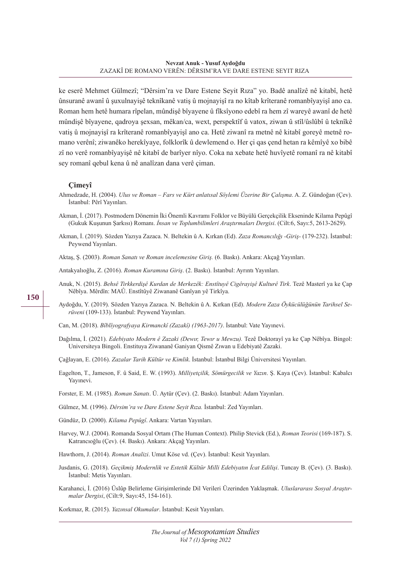ke eserê Mehmet Gülmezî; "Dêrsim'ra ve Dare Estene Seyit Rıza" yo. Badê analîzê nê kitabî, hetê ûnsuranê awanî û şuxulnayişê teknîkanê vatiş û mojnayişî ra no kîtab krîteranê romanbîyayişî ano ca. Roman hem hetê humara rîpelan, mûndişê bîyayene û fîksîyono edebî ra hem zî wareyê awanî de hetê mûndişê bîyayene, qadroya şexsan, mêkan/ca, wext, perspektîf û vatox, ziwan û stîl/ûslûbî û teknîkê vatiş û mojnayişî ra krîteranê romanbîyayişî ano ca. Hetê ziwanî ra metnê nê kitabî goreyê metnê romano verênî; ziwanêko herekîyaye, folklorîk û dewlemend o. Her çi qas çend hetan ra kêmîyê xo bibê zî no verê romanbîyayişê nê kitabî de barîyer nîyo. Coka na xebate hetê huvîyetê romanî ra nê kitabî sey romanî qebul kena û nê analîzan dana verê çiman.

#### **Çimeyî**

Ahmedzade, H. (2004). *Ulus ve Roman – Fars ve Kürt anlatısal Söylemi Üzerine Bir Çalışma*. A. Z. Gündoğan (Çev). İstanbul: Pêrî Yayınları.

Akman, İ. (2017). Postmodern Dönemin İki Önemli Kavramı Folklor ve Büyülü Gerçekçilik Ekseninde Kilama Pepûgî (Gukuk Kuşunun Şarkısı) Romanı. *İnsan ve Toplumbilimleri Araştırmaları Dergisi*. (Cilt:6, Sayı:5, 2613-2629).

Akman, İ. (2019). Sözden Yazıya Zazaca. N. Beltekin û A. Kırkan (Ed). *Zaza Romancılığı -Giriş-* (179-232). İstanbul: Peywend Yayınları.

Aktaş, Ş. (2003). *Roman Sanatı ve Roman incelemesine Giriş.* (6. Baskı). Ankara: Akçağ Yayınları.

Antakyalıoğlu, Z. (2016). *Roman Kuramına Giriş*. (2. Baskı). İstanbul: Ayrıntı Yayınları.

- Anuk, N. (2015). *Behsê Tirkkerdişê Kurdan de Merkezêk: Enstîtuyê Cigêrayişê Kulturê Tirk*. Tezê Masterî ya ke Çap Nêbîya. Mêrdîn: MAÛ. Enstîtûyê Ziwananê Ganîyan yê Tirkîya.
- Aydoğdu, Y. (2019). Sözden Yazıya Zazaca. N. Beltekin û A. Kırkan (Ed). *Modern Zaza Öykücülüğünün Tarihsel Serüveni* (109-133). İstanbul: Peywend Yayınları.

Can, M. (2018). *Bîblîyografyaya Kirmanckî (Zazakî) (1963-2017)*. İstanbul: Vate Yayınevi.

Dağılma, İ. (2021). *Edebiyato Modern ê Zazaki (Dewır, Tewır u Mewzu).* Tezê Doktorayî ya ke Çap Nêbîya. Bingol: Universiteya Bingoli. Enstituya Ziwananê Ganiyan Qismê Zıwan u Edebiyatê Zazaki.

Çağlayan, E. (2016). *Zazalar Tarih Kültür ve Kimlik*. İstanbul: İstanbul Bilgi Üniversitesi Yayınları.

- Eagelton, T., Jameson, F. û Said, E. W. (1993). *Milliyetçilik, Sömürgecilik ve Yazın*. Ş. Kaya (Çev). İstanbul: Kabalcı Yayınevi.
- Forster, E. M. (1985). *Roman Sanatı*. Ü. Aytür (Çev). (2. Baskı). İstanbul: Adam Yayınları.
- Gülmez, M. (1996). *Dêrsim'ra ve Dare Estene Seyit Rıza.* İstanbul: Zed Yayınları.
- Gündüz, D. (2000). *Kilama Pepûgî*. Ankara: Vartan Yayınları.
- Harvey, W.J. (2004). Romanda Sosyal Ortam (The Human Context). Philip Stevick (Ed.), *Roman Teorisi* (169-187). S. Katrancıoğlu (Çev). (4. Baskı). Ankara: Akçağ Yayınları.

Hawthorn, J. (2014). *Roman Analizi*. Umut Köse vd. (Çev). İstanbul: Kesit Yayınları.

- Jusdanis, G. (2018). *Geçikmiş Modernlik ve Estetik Kültür Milli Edebiyatın İcat Edilişi*. Tuncay B. (Çev). (3. Baskı). İstanbul: Metis Yayınları.
- Karahanci, İ. (2016) Üslûp Belirleme Girişimlerinde Dil Verileri Üzerinden Yaklaşmak. *Uluslararası Sosyal Araştırmalar Dergisi*, (Cilt:9, Sayı:45, 154-161).
- Korkmaz, R. (2015). *Yazınsal Okumalar*. İstanbul: Kesit Yayınları.

**150**